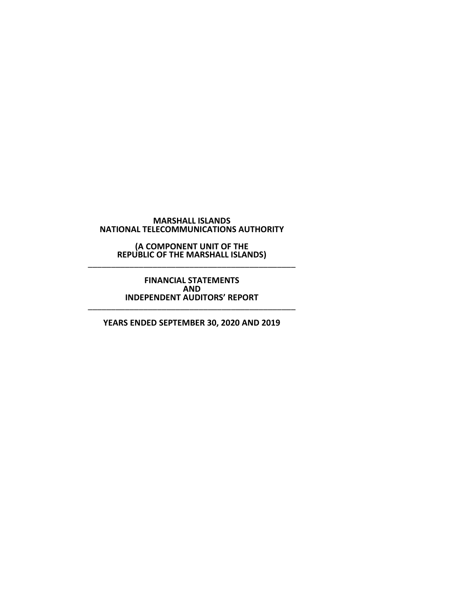#### **MARSHALL ISLANDS NATIONAL TELECOMMUNICATIONS AUTHORITY**

**(A COMPONENT UNIT OF THE REPUBLIC OF THE MARSHALL ISLANDS)** \_\_\_\_\_\_\_\_\_\_\_\_\_\_\_\_\_\_\_\_\_\_\_\_\_\_\_\_\_\_\_\_\_\_\_\_\_\_\_\_\_\_\_\_\_

> **FINANCIAL STATEMENTS AND INDEPENDENT AUDITORS' REPORT**

**YEARS ENDED SEPTEMBER 30, 2020 AND 2019**

\_\_\_\_\_\_\_\_\_\_\_\_\_\_\_\_\_\_\_\_\_\_\_\_\_\_\_\_\_\_\_\_\_\_\_\_\_\_\_\_\_\_\_\_\_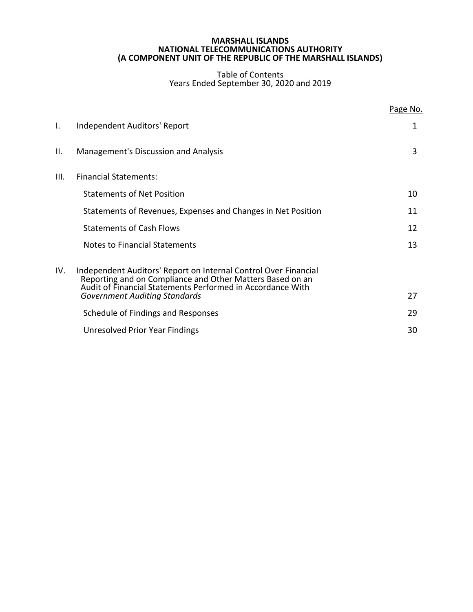# Table of Contents Years Ended September 30, 2020 and 2019

|      |                                                                                                                                                                                            | Page No. |
|------|--------------------------------------------------------------------------------------------------------------------------------------------------------------------------------------------|----------|
| I.   | Independent Auditors' Report                                                                                                                                                               | 1        |
| ΙΙ.  | Management's Discussion and Analysis                                                                                                                                                       | 3        |
| III. | <b>Financial Statements:</b>                                                                                                                                                               |          |
|      | <b>Statements of Net Position</b>                                                                                                                                                          | 10       |
|      | Statements of Revenues, Expenses and Changes in Net Position                                                                                                                               | 11       |
|      | <b>Statements of Cash Flows</b>                                                                                                                                                            | 12       |
|      | Notes to Financial Statements                                                                                                                                                              | 13       |
| IV.  | Independent Auditors' Report on Internal Control Over Financial<br>Reporting and on Compliance and Other Matters Based on an<br>Audit of Financial Statements Performed in Accordance With |          |
|      | <b>Government Auditing Standards</b>                                                                                                                                                       | 27       |
|      | Schedule of Findings and Responses                                                                                                                                                         | 29       |
|      | Unresolved Prior Year Findings                                                                                                                                                             | 30       |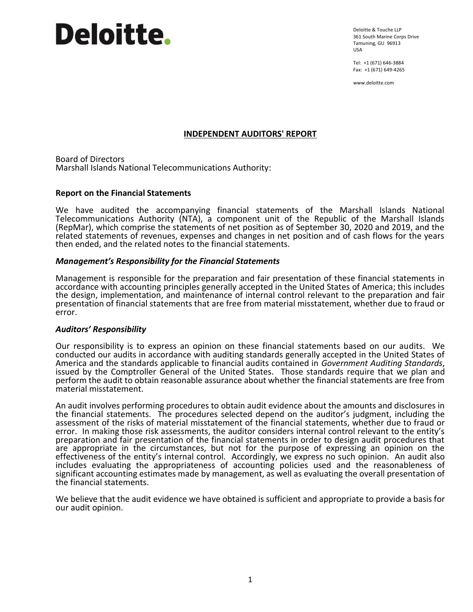# Deloitte.

Deloitte & Touche LLP 361 South Marine Corps Drive Tamuning, GU 96913 USA

Tel: +1 (671) 646-3884 Fax: +1 (671) 649-4265

www.deloitte.com

# **INDEPENDENT AUDITORS' REPORT**

Board of Directors Marshall Islands National Telecommunications Authority:

# **Report on the Financial Statements**

We have audited the accompanying financial statements of the Marshall Islands National Telecommunications Authority (NTA), a component unit of the Republic of the Marshall Islands (RepMar), which comprise the statements of net position as of September 30, 2020 and 2019, and the related statements of revenues, expenses and changes in net position and of cash flows for the years then ended, and the related notes to the financial statements.

# *Management's Responsibility for the Financial Statements*

Management is responsible for the preparation and fair presentation of these financial statements in accordance with accounting principles generally accepted in the United States of America; this includes the design, implementation, and maintenance of internal control relevant to the preparation and fair presentation of financial statements that are free from material misstatement, whether due to fraud or error.

# *Auditors' Responsibility*

Our responsibility is to express an opinion on these financial statements based on our audits. We conducted our audits in accordance with auditing standards generally accepted in the United States of America and the standards applicable to financial audits contained in *Government Auditing Standards*, issued by the Comptroller General of the United States. Those standards require that we plan and perform the audit to obtain reasonable assurance about whether the financial statements are free from material misstatement.

An audit involves performing procedures to obtain audit evidence about the amounts and disclosures in the financial statements. The procedures selected depend on the auditor's judgment, including the assessment of the risks of material misstatement of the financial statements, whether due to fraud or error. In making those risk assessments, the auditor considers internal control relevant to the entity's preparation and fair presentation of the financial statements in order to design audit procedures that are appropriate in the circumstances, but not for the purpose of expressing an opinion on the effectiveness of the entity's internal control. Accordingly, we express no such opinion. An audit also includes evaluating the appropriateness of accounting policies used and the reasonableness of significant accounting estimates made by management, as well as evaluating the overall presentation of the financial statements.

We believe that the audit evidence we have obtained is sufficient and appropriate to provide a basis for our audit opinion.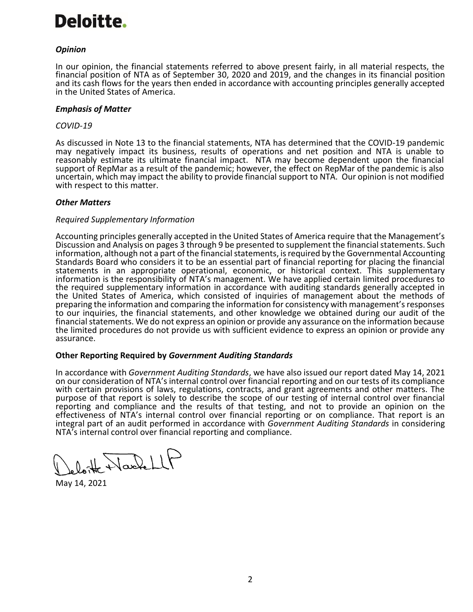# Deloitte.

# *Opinion*

In our opinion, the financial statements referred to above present fairly, in all material respects, the financial position of NTA as of September 30, 2020 and 2019, and the changes in its financial position and its cash flows for the years then ended in accordance with accounting principles generally accepted in the United States of America.

# *Emphasis of Matter*

# *COVID-19*

As discussed in Note 13 to the financial statements, NTA has determined that the COVID-19 pandemic may negatively impact its business, results of operations and net position and NTA is unable to reasonably estimate its ultimate financial impact. NTA may become dependent upon the financial support of RepMar as a result of the pandemic; however, the effect on RepMar of the pandemic is also uncertain, which may impact the ability to provide financial support to NTA. Our opinion is not modified with respect to this matter.

# *Other Matters*

# *Required Supplementary Information*

Accounting principles generally accepted in the United States of America require that the Management's Discussion and Analysis on pages 3 through 9 be presented to supplement the financial statements. Such information, although not a part of the financial statements, is required by the Governmental Accounting Standards Board who considers it to be an essential part of financial reporting for placing the financial statements in an appropriate operational, economic, or historical context. This supplementary information is the responsibility of NTA's management. We have applied certain limited procedures to the required supplementary information in accordance with auditing standards generally accepted in the United States of America, which consisted of inquiries of management about the methods of preparing the information and comparing the information for consistency with management's responses to our inquiries, the financial statements, and other knowledge we obtained during our audit of the financial statements. We do not express an opinion or provide any assurance on the information because the limited procedures do not provide us with sufficient evidence to express an opinion or provide any assurance.

# **Other Reporting Required by** *Government Auditing Standards*

In accordance with *Government Auditing Standards*, we have also issued our report dated May 14, 2021 on our consideration of NTA's internal control over financial reporting and on our tests of its compliance with certain provisions of laws, regulations, contracts, and grant agreements and other matters. The purpose of that report is solely to describe the scope of our testing of internal control over financial reporting and compliance and the results of that testing, and not to provide an opinion on the effectiveness of NTA's internal control over financial reporting or on compliance. That report is an integral part of an audit performed in accordance with *Government Auditing Standards* in considering NTA<sup>7</sup>s internal control over financial reporting and compliance.

leloit Nachellt

May 14, 2021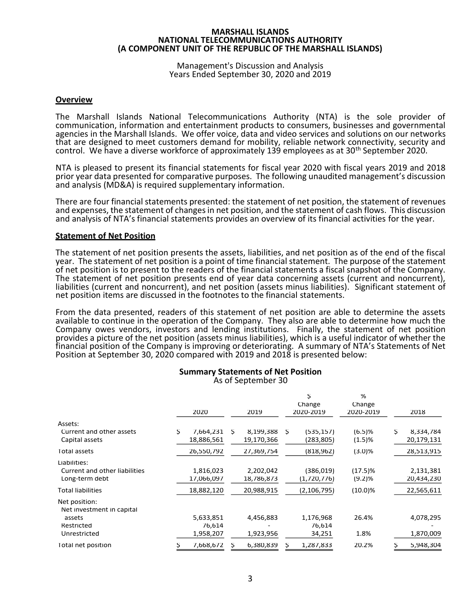Management's Discussion and Analysis Years Ended September 30, 2020 and 2019

#### **Overview**

The Marshall Islands National Telecommunications Authority (NTA) is the sole provider of communication, information and entertainment products to consumers, businesses and governmental agencies in the Marshall Islands. We offer voice, data and video services and solutions on our networks that are designed to meet customers demand for mobility, reliable network connectivity, security and control. We have a diverse workforce of approximately 139 employees as at 30<sup>th</sup> September 2020.

NTA is pleased to present its financial statements for fiscal year 2020 with fiscal years 2019 and 2018 prior year data presented for comparative purposes. The following unaudited management's discussion and analysis (MD&A) is required supplementary information.

There are four financial statements presented: the statement of net position, the statement of revenues and expenses, the statement of changes in net position, and the statement of cash flows. This discussion and analysis of NTA's financial statements provides an overview of its financial activities for the year.

#### **Statement of Net Position**

The statement of net position presents the assets, liabilities, and net position as of the end of the fiscal year. The statement of net position is a point of time financial statement. The purpose of the statement of net position is to present to the readers of the financial statements a fiscal snapshot of the Company. The statement of net position presents end of year data concerning assets (current and noncurrent), liabilities (current and noncurrent), and net position (assets minus liabilities). Significant statement of net position items are discussed in the footnotes to the financial statements.

From the data presented, readers of this statement of net position are able to determine the assets available to continue in the operation of the Company. They also are able to determine how much the Company owes vendors, investors and lending institutions. Finally, the statement of net position provides a picture of the net position (assets minus liabilities), which is a useful indicator of whether the financial position of the Company is improving or deteriorating. A summary of NTA's Statements of Net Position at September 30, 2020 compared with 2019 and 2018 is presented below:

#### **Summary Statements of Net Position** As of September 30

\$ % Change Change 2020 2019 2020-2019 2020-2019 2018 Assets: Current and other assets \$ 7,664,231 \$ 8,199,388 \$ (535,157) (6.5)% \$ 8,334,784 Capital assets 18,886,561 19,170,366 (283,805) (1.5)% 20,179,131 Total assets 26,550,792 27,369,754 (818,962) (3.0)% 28,513,915 Liabilities: Current and other liabilities 1,816,023 2,202,042 (386,019) (17.5)% 2,131,381 Long-term debt 17,066,097 18,786,873 (1,720,776) (9.2)% 20,434,230 Total liabilities 18,882,120 20,988,915 (2,106,795) (10.0)% 22,565,611 Net position: Net investment in capital assets 5,633,851 4,456,883 1,176,968 26.4% 4,078,295 Restricted 76,614 - 76,614 - Unrestricted 1,958,207 1,923,956 34,251 1.8% 1,870,009 Total net position **5 7,668,672 \$ 6,380,839 \$ 1,287,833** 20.2% \$ 5,948,304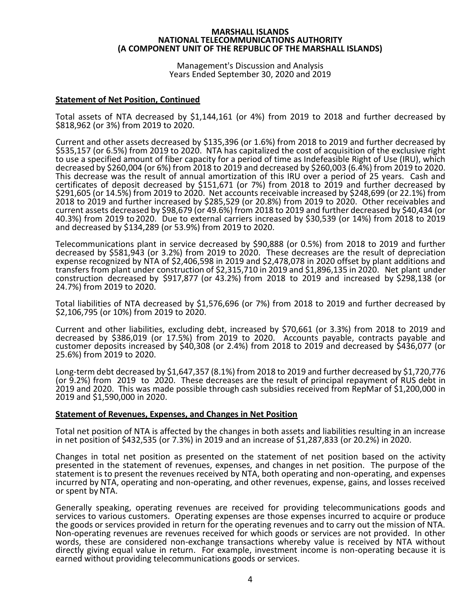Management's Discussion and Analysis Years Ended September 30, 2020 and 2019

# **Statement of Net Position, Continued**

Total assets of NTA decreased by \$1,144,161 (or 4%) from 2019 to 2018 and further decreased by \$818,962 (or 3%) from 2019 to 2020.

Current and other assets decreased by \$135,396 (or 1.6%) from 2018 to 2019 and further decreased by \$535,157 (or 6.5%) from 2019 to 2020. NTA has capitalized the cost of acquisition of the exclusive right to use a specified amount of fiber capacity for a period of time as Indefeasible Right of Use (IRU), which decreased by \$260,004 (or 6%) from 2018 to 2019 and decreased by \$260,003 (6.4%) from 2019 to 2020. This decrease was the result of annual amortization of this IRU over a period of 25 years. Cash and certificates of deposit decreased by \$151,671 (or 7%) from 2018 to 2019 and further decreased by \$291,605 (or 14.5%) from 2019 to 2020. Net accounts receivable increased by \$248,699 (or 22.1%) from 2018 to 2019 and further increased by \$285,529 (or 20.8%) from 2019 to 2020. Other receivables and current assets decreased by \$98,679 (or 49.6%) from 2018 to 2019 and further decreased by \$40,434 (or 40.3%) from 2019 to2020. Due to external carriers increased by \$30,539 (or 14%) from 2018 to 2019 and decreased by \$134,289 (or 53.9%) from 2019 to 2020.

Telecommunications plant in service decreased by \$90,888 (or 0.5%) from 2018 to 2019 and further decreased by \$581,943 (or 3.2%) from 2019 to 2020. These decreases are the result of depreciation expense recognized by NTA of \$2,406,598 in 2019 and \$2,478,078 in 2020 offset by plant additions and transfers from plant under construction of \$2,315,710 in 2019 and \$1,896,135 in 2020. Net plant under construction decreased by \$917,877 (or 43.2%) from 2018 to 2019 and increased by \$298,138 (or 24.7%) from 2019 to 2020.

Total liabilities of NTA decreased by \$1,576,696 (or 7%) from 2018 to 2019 and further decreased by \$2,106,795 (or 10%) from 2019 to 2020.

Current and other liabilities, excluding debt, increased by \$70,661 (or 3.3%) from 2018 to 2019 and decreased by \$386,019 (or 17.5%) from 2019 to 2020. Accounts payable, contracts payable and customer deposits increased by \$40,308 (or 2.4%) from 2018 to 2019 and decreased by \$436,077 (or 25.6%) from 2019 to 2020.

Long-term debt decreased by \$1,647,357 (8.1%) from 2018 to 2019 and further decreased by \$1,720,776 (or 9.2%) from 2019 to 2020. These decreases are the result of principal repayment of RUS debt in 2019 and 2020. This was made possible through cash subsidies received from RepMar of \$1,200,000 in 2019 and \$1,590,000 in 2020.

#### **Statement of Revenues, Expenses, and Changes in Net Position**

Total net position of NTA is affected by the changes in both assets and liabilities resulting in an increase in net position of \$432,535 (or 7.3%) in 2019 and an increase of \$1,287,833 (or 20.2%) in 2020.

Changes in total net position as presented on the statement of net position based on the activity presented in the statement of revenues, expenses, and changes in net position. The purpose of the statement is to present the revenues received by NTA, both operating and non-operating, and expenses incurred by NTA, operating and non-operating, and other revenues, expense, gains, and losses received or spent by NTA.

Generally speaking, operating revenues are received for providing telecommunications goods and services to various customers. Operating expenses are those expenses incurred to acquire or produce the goods or services provided in return for the operating revenues and to carry out the mission of NTA. Non-operating revenues are revenues received for which goods or services are not provided. In other words, these are considered non-exchange transactions whereby value is received by NTA without directly giving equal value in return. For example, investment income is non-operating because it is earned without providing telecommunications goods or services.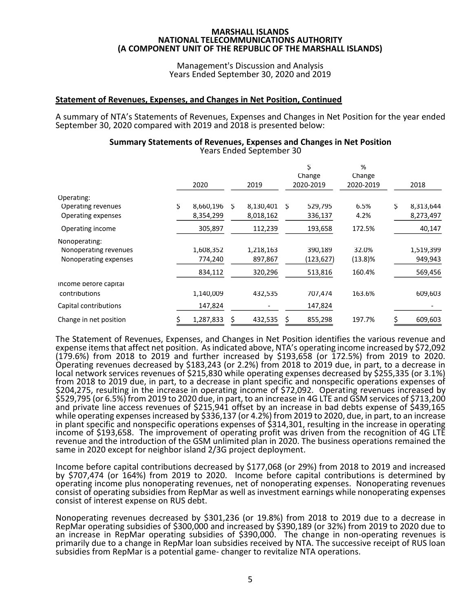Management's Discussion and Analysis Years Ended September 30, 2020 and 2019

# **Statement of Revenues, Expenses, and Changes in Net Position, Continued**

A summary of NTA's Statements of Revenues, Expenses and Changes in Net Position for the year ended September 30, 2020 compared with 2019 and 2018 is presented below:

#### **Summary Statements of Revenues, Expenses and Changes in Net Position** Years Ended September 30

|                        |   |           |   |           |   | S<br>Change | %<br>Change |   |           |
|------------------------|---|-----------|---|-----------|---|-------------|-------------|---|-----------|
|                        |   | 2020      |   | 2019      |   | 2020-2019   | 2020-2019   |   | 2018      |
| Operating:             |   |           |   |           |   |             |             |   |           |
| Operating revenues     | Ş | 8,660,196 | S | 8,130,401 | S | 529,795     | 6.5%        | Ş | 8,313,644 |
| Operating expenses     |   | 8,354,299 |   | 8,018,162 |   | 336,137     | 4.2%        |   | 8,273,497 |
| Operating income       |   | 305,897   |   | 112,239   |   | 193,658     | 172.5%      |   | 40,147    |
| Nonoperating:          |   |           |   |           |   |             |             |   |           |
| Nonoperating revenues  |   | 1,608,352 |   | 1,218,163 |   | 390,189     | 32.0%       |   | 1,519,399 |
| Nonoperating expenses  |   | 774,240   |   | 897,867   |   | (123,627)   | $(13.8)\%$  |   | 949,943   |
|                        |   | 834,112   |   | 320,296   |   | 513,816     | 160.4%      |   | 569,456   |
| Income before capital  |   |           |   |           |   |             |             |   |           |
| contributions          |   | 1,140,009 |   | 432,535   |   | 707,474     | 163.6%      |   | 609,603   |
| Capital contributions  |   | 147,824   |   |           |   | 147,824     |             |   |           |
| Change in net position |   | 1,287,833 | S | 432,535   |   | 855,298     | 197.7%      |   | 609,603   |

The Statement of Revenues, Expenses, and Changes in Net Position identifies the various revenue and expense items that affect net position. As indicated above, NTA's operating income increased by \$72,092 (179.6%) from 2018 to 2019 and further increased by \$193,658 (or 172.5%) from 2019 to 2020. Operating revenues decreased by \$183,243 (or 2.2%) from 2018 to 2019 due, in part, to a decrease in local network services revenues of \$215,830 while operating expenses decreased by \$255,335 (or 3.1%) from 2018 to 2019 due, in part, to a decrease in plant specific and nonspecific operations expenses of \$204,275, resulting in the increase in operating income of \$72,092. Operating revenues increased by \$529,795 (or 6.5%) from 2019 to 2020 due, in part, to an increase in 4G LTE and GSM services of \$713,200 and private line access revenues of \$215,941 offset by an increase in bad debts expense of \$439,165 while operating expenses increased by \$336,137 (or 4.2%) from 2019 to 2020, due, in part, to an increase in plant specific and nonspecific operations expenses of \$314,301, resulting in the increase in operating income of \$193,658. The improvement of operating profit was driven from the recognition of 4G LTE revenue and the introduction of the GSM unlimited plan in 2020. The business operations remained the same in 2020 except for neighbor island 2/3G project deployment.

Income before capital contributions decreased by \$177,068 (or 29%) from 2018 to 2019 and increased by \$707,474 (or 164%) from 2019 to 2020. Income before capital contributions is determined by operating income plus nonoperating revenues, net of nonoperating expenses. Nonoperating revenues consist of operating subsidies from RepMar as well as investment earnings while nonoperating expenses consist of interest expense on RUS debt.

Nonoperating revenues decreased by \$301,236 (or 19.8%) from 2018 to 2019 due to a decrease in RepMar operating subsidies of \$300,000 and increased by \$390,189 (or 32%) from 2019 to 2020 due to an increase in RepMar operating subsidies of \$390,000. The change in non-operating revenues is primarily due to a change in RepMar loan subsidies received by NTA. The successive receipt of RUS loan subsidies from RepMar is a potential game- changer to revitalize NTA operations.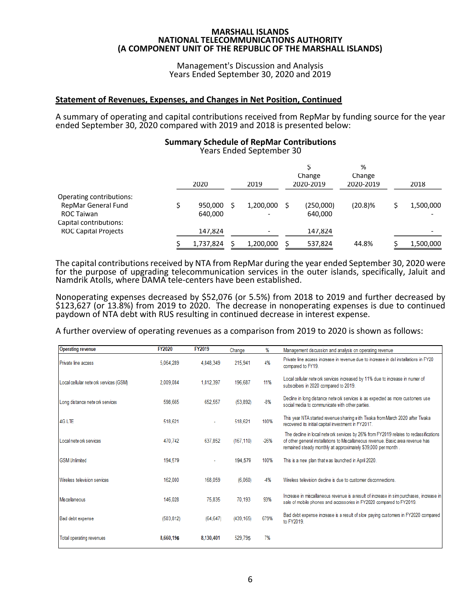Management's Discussion and Analysis Years Ended September 30, 2020 and 2019

#### **Statement of Revenues, Expenses, and Changes in Net Position, Continued**

A summary of operating and capital contributions received from RepMar by funding source for the year ended September 30, 2020 compared with 2019 and 2018 is presented below:

#### **Summary Schedule of RepMar Contributions** Years Ended September 30

|                                                                                                | 2020               | 2019                                  | Change<br>2020-2019  | %<br>Change<br>2020-2019 | 2018                         |
|------------------------------------------------------------------------------------------------|--------------------|---------------------------------------|----------------------|--------------------------|------------------------------|
| Operating contributions:<br>RepMar General Fund<br><b>ROC Taiwan</b><br>Capital contributions: | 950,000<br>640,000 | 1,200,000<br>$\overline{\phantom{0}}$ | (250,000)<br>640,000 | $(20.8)\%$               | 1,500,000<br>-               |
| <b>ROC Capital Projects</b>                                                                    | 147,824            |                                       | 147,824              |                          | $\qquad \qquad \blacksquare$ |
|                                                                                                | 1,737,824          | 1,200,000                             | 537,824              | 44.8%                    | 1,500,000                    |

The capital contributions received by NTA from RepMar during the year ended September 30, 2020 were for the purpose of upgrading telecommunication services in the outer islands, specifically, Jaluit and Namdrik Atolls, where DAMA tele-centers have been established.

Nonoperating expenses decreased by \$52,076 (or 5.5%) from 2018 to 2019 and further decreased by \$123,627 (or 13.8%) from 2019 to 2020. The decrease in nonoperating expenses is due to continued paydown of NTA debt with RUS resulting in continued decrease in interest expense.

A further overview of operating revenues as a comparison from 2019 to 2020 is shown as follows:

| <b>Operating revenue</b>              | <b>FY2020</b> | <b>FY2019</b> | Change    | %      | Management discussion and analysis on operating revenue                                                                                                                                                                                  |
|---------------------------------------|---------------|---------------|-----------|--------|------------------------------------------------------------------------------------------------------------------------------------------------------------------------------------------------------------------------------------------|
| Private line access                   | 5.064.289     | 4.848.349     | 215.941   | 4%     | Private line access increase in revenue due to increase in dsl installations in EY20.<br>compared to FY19.                                                                                                                               |
| Local cellular network services (GSM) | 2.009.084     | 1,812,397     | 196.687   | 11%    | Local cellular network services increased by 11% due to increase in numer of<br>subscribers in 2020 compared to 2019.                                                                                                                    |
| Long distance network services        | 598.665       | 652.557       | (53.892)  | $-8%$  | Decline in long distance network services is as expected as more customers use<br>social media to communicate with other parties.                                                                                                        |
| 4G LTE                                | 518.621       |               | 518.621   | 100%   | This year NTA started revenue sharing with Tivaka from March 2020 after Tivaka<br>recovered its initial capital investment in FY2017.                                                                                                    |
| Local network services                | 470.742       | 637.852       | (167.110) | $-26%$ | The decline in local network services by 26% from FY2019 relates to reclassifications<br>of other general installations to Miscallaneous revenue. Basic area revenue has<br>remained steady monthly at approximately \$39,000 per month. |
| <b>GSM Unlimited</b>                  | 194.579       |               | 194.579   | 100%   | This is a new plan that was launched in April 2020.                                                                                                                                                                                      |
| Wireless television services          | 162,000       | 168.059       | (6,060)   | $-4%$  | Wireless television decline is due to customer disconnections.                                                                                                                                                                           |
| Miscellaneous                         | 146.028       | 75.835        | 70.193    | 93%    | Increase in miscallaneous revenue is a result of increase in simpurchases, increase in<br>sale of mobile phones and accessories in FY2020 compared to FY2019.                                                                            |
| Bad debt expense                      | (503, 812)    | (64.647)      | (439.165) | 679%   | Bad debt expense increase is a result of slow paying customers in FY2020 compared<br>to FY2019.                                                                                                                                          |
| Total operating revenues              | 8.660.196     | 8.130.401     | 529.795   | 7%     |                                                                                                                                                                                                                                          |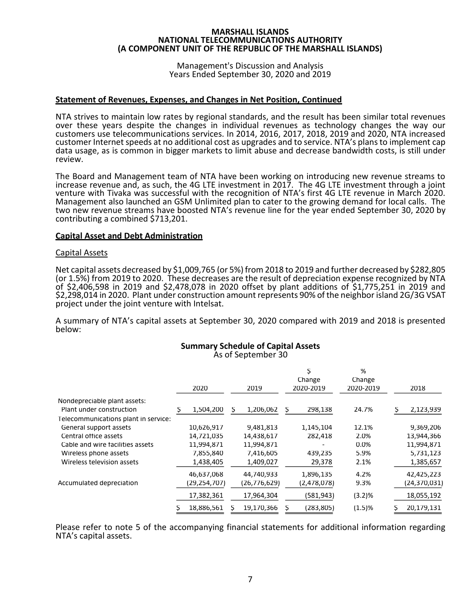Management's Discussion and Analysis Years Ended September 30, 2020 and 2019

# **Statement of Revenues, Expenses, and Changes in Net Position, Continued**

NTA strives to maintain low rates by regional standards, and the result has been similar total revenues over these years despite the changes in individual revenues as technology changes the way our customers use telecommunications services. In 2014, 2016, 2017, 2018, 2019 and 2020, NTA increased customer Internet speeds at no additional cost as upgrades and to service. NTA's plans to implement cap data usage, as is common in bigger markets to limit abuse and decrease bandwidth costs, is still under review.

The Board and Management team of NTA have been working on introducing new revenue streams to increase revenue and, as such, the 4G LTE investment in 2017. The 4G LTE investment through a joint venture with Tivaka was successful with the recognition of NTA's first 4G LTE revenue in March 2020. Management also launched an GSM Unlimited plan to cater to the growing demand for local calls. The two new revenue streams have boosted NTA's revenue line for the year ended September 30, 2020 by contributing a combined \$713,201.

#### **Capital Asset and Debt Administration**

#### Capital Assets

Net capital assets decreased by \$1,009,765 (or 5%) from 2018 to 2019 and further decreased by \$282,805 (or 1.5%) from 2019 to 2020. These decreases are the result of depreciation expense recognized by NTA of \$2,406,598 in 2019 and \$2,478,078 in 2020 offset by plant additions of \$1,775,251 in 2019 and \$2,298,014 in 2020. Plant under construction amount represents 90% of the neighbor island 2G/3G VSAT project under the joint venture with Intelsat.

A summary of NTA's capital assets at September 30, 2020 compared with 2019 and 2018 is presented below:

#### **Summary Schedule of Capital Assets** As of September 30

|                                      | 2020         |   | 2019         |   | Ş<br>Change<br>2020-2019 | %<br>Change<br>2020-2019 | 2018           |
|--------------------------------------|--------------|---|--------------|---|--------------------------|--------------------------|----------------|
| Nondepreciable plant assets:         |              |   |              |   |                          |                          |                |
| Plant under construction             | 1,504,200    | S | 1,206,062    | S | 298,138                  | 24.7%                    | 2,123,939      |
| Telecommunications plant in service: |              |   |              |   |                          |                          |                |
| General support assets               | 10,626,917   |   | 9,481,813    |   | 1,145,104                | 12.1%                    | 9,369,206      |
| Central office assets                | 14,721,035   |   | 14,438,617   |   | 282,418                  | 2.0%                     | 13,944,366     |
| Cable and wire facilities assets     | 11,994,871   |   | 11,994,871   |   |                          | 0.0%                     | 11,994,871     |
| Wireless phone assets                | 7,855,840    |   | 7,416,605    |   | 439,235                  | 5.9%                     | 5,731,123      |
| Wireless television assets           | 1,438,405    |   | 1,409,027    |   | 29,378                   | 2.1%                     | 1,385,657      |
|                                      | 46,637,068   |   | 44,740,933   |   | 1,896,135                | 4.2%                     | 42,425,223     |
| Accumulated depreciation             | (29,254,707) |   | (26,776,629) |   | (2,478,078)              | 9.3%                     | (24, 370, 031) |
|                                      | 17,382,361   |   | 17,964,304   |   | (581,943)                | (3.2)%                   | 18,055,192     |
|                                      | 18,886,561   |   | 19,170,366   | S | (283,805)                | (1.5)%                   | 20,179,131     |

Please refer to note 5 of the accompanying financial statements for additional information regarding NTA's capital assets.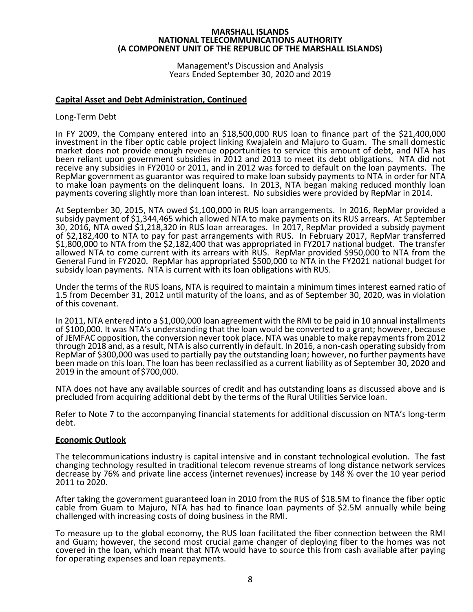Management's Discussion and Analysis Years Ended September 30, 2020 and 2019

# **Capital Asset and Debt Administration, Continued**

#### Long-Term Debt

In FY 2009, the Company entered into an \$18,500,000 RUS loan to finance part of the \$21,400,000 investment in the fiber optic cable project linking Kwajalein and Majuro to Guam. The small domestic market does not provide enough revenue opportunities to service this amount of debt, and NTA has been reliant upon government subsidies in 2012 and 2013 to meet its debt obligations. NTA did not receive any subsidies in FY2010 or 2011, and in 2012 was forced to default on the loan payments. The RepMar government as guarantor was required to make loan subsidy payments to NTA in order for NTA to make loan payments on the delinquent loans. In 2013, NTA began making reduced monthly loan payments covering slightly more than loan interest. No subsidies were provided by RepMar in 2014.

At September 30, 2015, NTA owed \$1,100,000 in RUS loan arrangements. In 2016, RepMar provided a subsidy payment of \$1,344,465 which allowed NTA to make payments on its RUS arrears. At September 30, 2016, NTA owed \$1,218,320 in RUS loan arrearages. In 2017, RepMar provided a subsidy payment of \$2,182,400 to NTA to pay for past arrangements with RUS. In February 2017, RepMar transferred \$1,800,000 to NTA from the \$2,182,400 that was appropriated in FY2017 national budget. The transfer allowed NTA to come current with its arrears with RUS. RepMar provided \$950,000 to NTA from the General Fund in FY2020. RepMar has appropriated \$500,000 to NTA in the FY2021 national budget for subsidy loan payments. NTA is current with its loan obligations with RUS.

Under the terms of the RUS loans, NTA is required to maintain a minimum times interest earned ratio of 1.5 from December 31, 2012 until maturity of the loans, and as of September 30, 2020, was in violation of this covenant.

In 2011, NTA entered into a \$1,000,000 loan agreement with the RMI to be paid in 10 annual installments of \$100,000. It was NTA's understanding that the loan would be converted to a grant; however, because of JEMFAC opposition, the conversion never took place. NTA was unable to make repayments from 2012 through 2018 and, as a result, NTA is also currently in default. In 2016, a non-cash operating subsidy from RepMar of \$300,000 was used to partially pay the outstanding loan; however, no further payments have been made on thisloan. The loan has been reclassified as a current liability as of September 30, 2020 and 2019 in the amount of \$700,000.

NTA does not have any available sources of credit and has outstanding loans as discussed above and is precluded from acquiring additional debt by the terms of the Rural Utilities Service loan.

Refer to Note 7 to the accompanying financial statements for additional discussion on NTA's long-term debt.

#### **Economic Outlook**

The telecommunications industry is capital intensive and in constant technological evolution. The fast changing technology resulted in traditional telecom revenue streams of long distance network services decrease by 76% and private line access (internet revenues) increase by 148 % over the 10 year period 2011 to 2020.

After taking the government guaranteed loan in 2010 from the RUS of \$18.5M to finance the fiber optic cable from Guam to Majuro, NTA has had to finance loan payments of \$2.5M annually while being challenged with increasing costs of doing business in the RMI.

To measure up to the global economy, the RUS loan facilitated the fiber connection between the RMI and Guam; however, the second most crucial game changer of deploying fiber to the homes was not covered in the loan, which meant that NTA would have to source this from cash available after paying for operating expenses and loan repayments.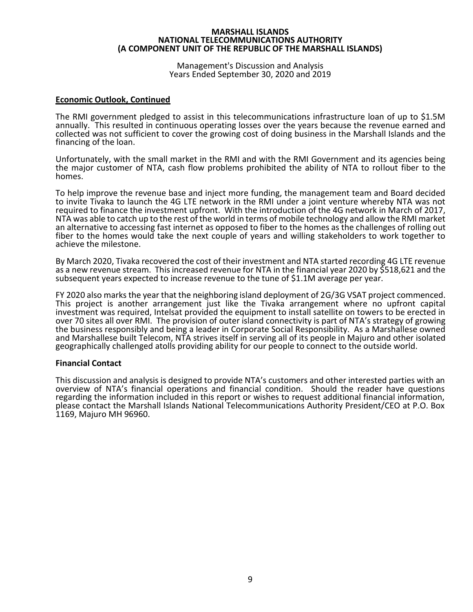Management's Discussion and Analysis Years Ended September 30, 2020 and 2019

#### **Economic Outlook, Continued**

The RMI government pledged to assist in this telecommunications infrastructure loan of up to \$1.5M annually. This resulted in continuous operating losses over the years because the revenue earned and collected was not sufficient to cover the growing cost of doing business in the Marshall Islands and the financing of the loan.

Unfortunately, with the small market in the RMI and with the RMI Government and its agencies being the major customer of NTA, cash flow problems prohibited the ability of NTA to rollout fiber to the homes.

To help improve the revenue base and inject more funding, the management team and Board decided to invite Tivaka to launch the 4G LTE network in the RMI under a joint venture whereby NTA was not required to finance the investment upfront. With the introduction of the 4G network in March of 2017, NTA was able to catch up to the rest of the world in terms of mobile technology and allow the RMI market an alternative to accessing fast internet as opposed to fiber to the homes as the challenges of rolling out fiber to the homes would take the next couple of years and willing stakeholders to work together to achieve the milestone.

By March 2020, Tivaka recovered the cost of their investment and NTA started recording 4G LTE revenue as a new revenue stream. This increased revenue for NTA in the financial year 2020 by \$518,621 and the subsequent years expected to increase revenue to the tune of \$1.1M average per year.

FY 2020 also marks the year that the neighboring island deployment of 2G/3G VSAT project commenced. This project is another arrangement just like the Tivaka arrangement where no upfront capital investment was required, Intelsat provided the equipment to install satellite on towers to be erected in over 70 sites all over RMI. The provision of outer island connectivity is part of NTA's strategy of growing the business responsibly and being a leader in Corporate Social Responsibility. As a Marshallese owned and Marshallese built Telecom, NTA strives itself in serving all of its people in Majuro and other isolated geographically challenged atolls providing ability for our people to connect to the outside world.

#### **Financial Contact**

This discussion and analysis is designed to provide NTA's customers and other interested parties with an overview of NTA's financial operations and financial condition. Should the reader have questions regarding the information included in this report or wishes to request additional financial information, please contact the Marshall Islands National Telecommunications Authority President/CEO at P.O. Box 1169, Majuro MH 96960.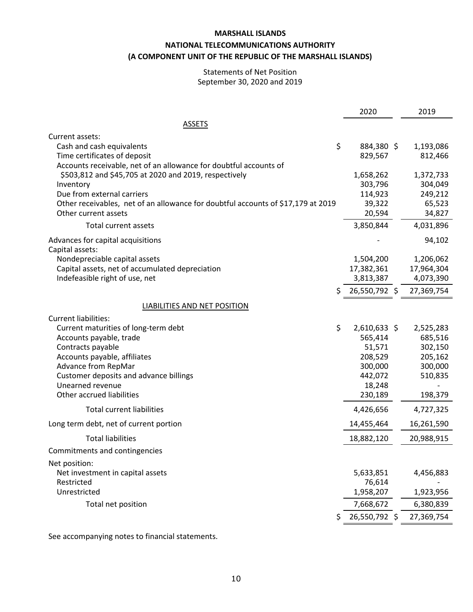# **MARSHALL ISLANDS**

# **NATIONAL TELECOMMUNICATIONS AUTHORITY**

# **(A COMPONENT UNIT OF THE REPUBLIC OF THE MARSHALL ISLANDS)**

# Statements of Net Position September 30, 2020 and 2019

|                                                                                  |    | 2020          | 2019       |
|----------------------------------------------------------------------------------|----|---------------|------------|
| <b>ASSETS</b>                                                                    |    |               |            |
| Current assets:                                                                  |    |               |            |
| Cash and cash equivalents                                                        | \$ | 884,380 \$    | 1,193,086  |
| Time certificates of deposit                                                     |    | 829,567       | 812,466    |
| Accounts receivable, net of an allowance for doubtful accounts of                |    |               |            |
| \$503,812 and \$45,705 at 2020 and 2019, respectively                            |    | 1,658,262     | 1,372,733  |
| Inventory                                                                        |    | 303,796       | 304,049    |
| Due from external carriers                                                       |    | 114,923       | 249,212    |
| Other receivables, net of an allowance for doubtful accounts of \$17,179 at 2019 |    | 39,322        | 65,523     |
| Other current assets                                                             |    | 20,594        | 34,827     |
| Total current assets                                                             |    | 3,850,844     | 4,031,896  |
| Advances for capital acquisitions                                                |    |               | 94,102     |
| Capital assets:                                                                  |    |               |            |
| Nondepreciable capital assets                                                    |    | 1,504,200     | 1,206,062  |
| Capital assets, net of accumulated depreciation                                  |    | 17,382,361    | 17,964,304 |
| Indefeasible right of use, net                                                   |    | 3,813,387     | 4,073,390  |
|                                                                                  | Ś. | 26,550,792 \$ | 27,369,754 |
| LIABILITIES AND NET POSITION                                                     |    |               |            |
| <b>Current liabilities:</b>                                                      |    |               |            |
| Current maturities of long-term debt                                             | \$ | 2,610,633 \$  | 2,525,283  |
| Accounts payable, trade                                                          |    | 565,414       | 685,516    |
| Contracts payable                                                                |    | 51,571        | 302,150    |
| Accounts payable, affiliates                                                     |    | 208,529       | 205,162    |
| Advance from RepMar                                                              |    | 300,000       | 300,000    |
| Customer deposits and advance billings                                           |    | 442,072       | 510,835    |
| Unearned revenue                                                                 |    | 18,248        |            |
| Other accrued liabilities                                                        |    | 230,189       | 198,379    |
| <b>Total current liabilities</b>                                                 |    | 4,426,656     | 4,727,325  |
| Long term debt, net of current portion                                           |    | 14,455,464    | 16,261,590 |
| <b>Total liabilities</b>                                                         |    | 18,882,120    | 20,988,915 |
| Commitments and contingencies                                                    |    |               |            |
| Net position:                                                                    |    |               |            |
| Net investment in capital assets                                                 |    | 5,633,851     | 4,456,883  |
| Restricted                                                                       |    | 76,614        |            |
| Unrestricted                                                                     |    | 1,958,207     | 1,923,956  |
| Total net position                                                               |    | 7,668,672     | 6,380,839  |
|                                                                                  |    | 26,550,792 \$ | 27,369,754 |

See accompanying notes to financial statements.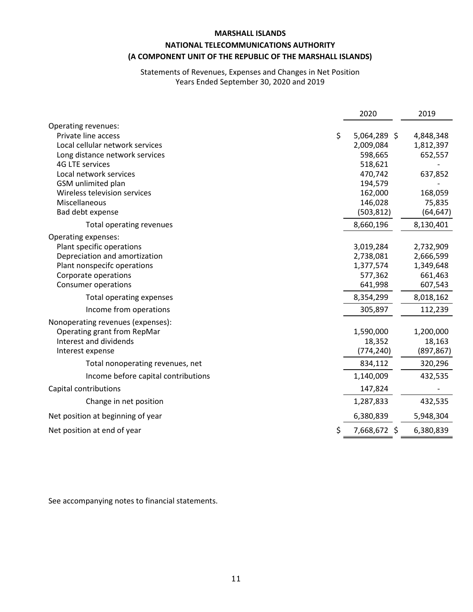# **MARSHALL ISLANDS**

# **NATIONAL TELECOMMUNICATIONS AUTHORITY**

# **(A COMPONENT UNIT OF THE REPUBLIC OF THE MARSHALL ISLANDS)**

# Statements of Revenues, Expenses and Changes in Net Position Years Ended September 30, 2020 and 2019

|                                     | 2020               | 2019       |
|-------------------------------------|--------------------|------------|
| Operating revenues:                 |                    |            |
| Private line access                 | \$<br>5,064,289 \$ | 4,848,348  |
| Local cellular network services     | 2,009,084          | 1,812,397  |
| Long distance network services      | 598,665            | 652,557    |
| <b>4G LTE services</b>              | 518,621            |            |
| Local network services              | 470,742            | 637,852    |
| GSM unlimited plan                  | 194,579            |            |
| Wireless television services        | 162,000            | 168,059    |
| Miscellaneous                       | 146,028            | 75,835     |
| Bad debt expense                    | (503, 812)         | (64, 647)  |
| Total operating revenues            | 8,660,196          | 8,130,401  |
| Operating expenses:                 |                    |            |
| Plant specific operations           | 3,019,284          | 2,732,909  |
| Depreciation and amortization       | 2,738,081          | 2,666,599  |
| Plant nonspecifc operations         | 1,377,574          | 1,349,648  |
| Corporate operations                | 577,362            | 661,463    |
| <b>Consumer operations</b>          | 641,998            | 607,543    |
| Total operating expenses            | 8,354,299          | 8,018,162  |
| Income from operations              | 305,897            | 112,239    |
| Nonoperating revenues (expenses):   |                    |            |
| Operating grant from RepMar         | 1,590,000          | 1,200,000  |
| Interest and dividends              | 18,352             | 18,163     |
| Interest expense                    | (774, 240)         | (897, 867) |
| Total nonoperating revenues, net    | 834,112            | 320,296    |
| Income before capital contributions | 1,140,009          | 432,535    |
| Capital contributions               | 147,824            |            |
| Change in net position              | 1,287,833          | 432,535    |
| Net position at beginning of year   | 6,380,839          | 5,948,304  |
| Net position at end of year         | \$<br>7,668,672 \$ | 6,380,839  |
|                                     |                    |            |

See accompanying notes to financial statements.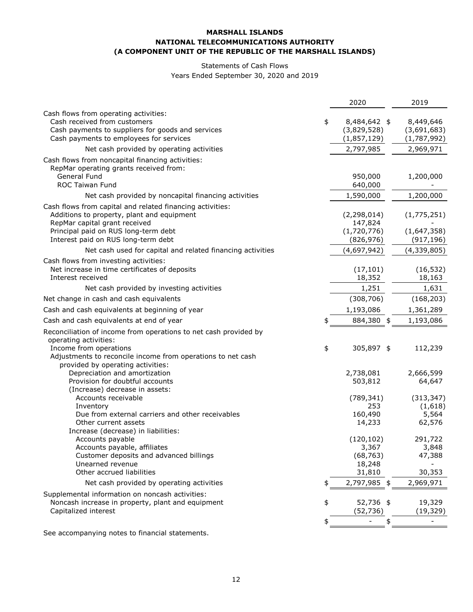# Statements of Cash Flows

Years Ended September 30, 2020 and 2019

|                                                                                            | 2020                                 | 2019        |
|--------------------------------------------------------------------------------------------|--------------------------------------|-------------|
| Cash flows from operating activities:                                                      |                                      |             |
| Cash received from customers                                                               | \$<br>8,484,642 \$                   | 8,449,646   |
| Cash payments to suppliers for goods and services                                          | (3,829,528)                          | (3,691,683) |
| Cash payments to employees for services                                                    | (1,857,129)                          | (1,787,992) |
| Net cash provided by operating activities                                                  | 2,797,985                            | 2,969,971   |
| Cash flows from noncapital financing activities:<br>RepMar operating grants received from: |                                      |             |
| <b>General Fund</b><br><b>ROC Taiwan Fund</b>                                              | 950,000<br>640,000                   | 1,200,000   |
| Net cash provided by noncapital financing activities                                       | 1,590,000                            | 1,200,000   |
| Cash flows from capital and related financing activities:                                  |                                      |             |
| Additions to property, plant and equipment                                                 | (2, 298, 014)                        | (1,775,251) |
| RepMar capital grant received                                                              | 147,824                              |             |
| Principal paid on RUS long-term debt                                                       | (1,720,776)                          | (1,647,358) |
| Interest paid on RUS long-term debt                                                        | (826, 976)                           | (917, 196)  |
| Net cash used for capital and related financing activities                                 | (4,697,942)                          | (4,339,805) |
| Cash flows from investing activities:                                                      |                                      |             |
| Net increase in time certificates of deposits                                              | (17, 101)                            | (16, 532)   |
| Interest received                                                                          | 18,352                               | 18,163      |
| Net cash provided by investing activities                                                  | 1,251                                | 1,631       |
| Net change in cash and cash equivalents                                                    | (308, 706)                           | (168, 203)  |
| Cash and cash equivalents at beginning of year                                             | 1,193,086                            | 1,361,289   |
| Cash and cash equivalents at end of year                                                   | \$<br>884,380 \$                     | 1,193,086   |
| Reconciliation of income from operations to net cash provided by                           |                                      |             |
| operating activities:                                                                      |                                      |             |
| Income from operations                                                                     | \$<br>305,897 \$                     | 112,239     |
| Adjustments to reconcile income from operations to net cash                                |                                      |             |
| provided by operating activities:                                                          |                                      |             |
| Depreciation and amortization                                                              | 2,738,081                            | 2,666,599   |
| Provision for doubtful accounts<br>(Increase) decrease in assets:                          | 503,812                              | 64,647      |
| Accounts receivable                                                                        | (789, 341)                           | (313, 347)  |
| Inventory                                                                                  | 253                                  | (1,618)     |
| Due from external carriers and other receivables                                           | 160,490                              | 5,564       |
| Other current assets                                                                       | 14,233                               | 62,576      |
| Increase (decrease) in liabilities:                                                        |                                      |             |
| Accounts payable                                                                           | (120, 102)                           | 291,722     |
| Accounts payable, affiliates                                                               | 3,367                                | 3,848       |
| Customer deposits and advanced billings                                                    | (68, 763)                            | 47,388      |
| Unearned revenue                                                                           | 18,248                               |             |
| Other accrued liabilities                                                                  | 31,810                               | 30,353      |
| Net cash provided by operating activities                                                  | \$<br>2,797,985 \$                   | 2,969,971   |
| Supplemental information on noncash activities:                                            |                                      |             |
| Noncash increase in property, plant and equipment                                          | \$<br>52,736 \$                      | 19,329      |
| Capitalized interest                                                                       | (52, 736)                            | (19, 329)   |
|                                                                                            | \$<br>\$<br>$\overline{\phantom{a}}$ |             |

See accompanying notes to financial statements.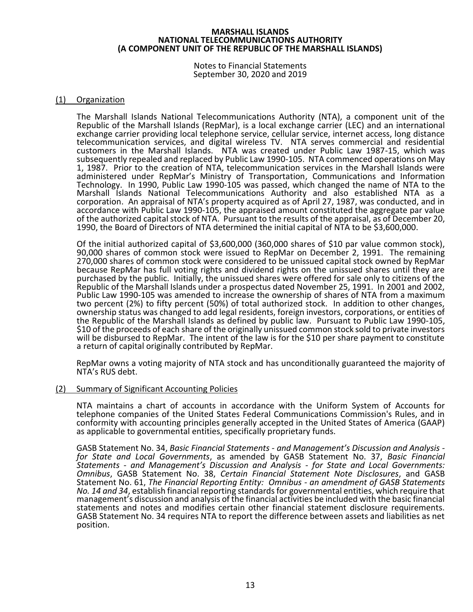Notes to Financial Statements September 30, 2020 and 2019

#### (1) Organization

The Marshall Islands National Telecommunications Authority (NTA), a component unit of the Republic of the Marshall Islands (RepMar), is a local exchange carrier (LEC) and an international exchange carrier providing local telephone service, cellular service, internet access, long distance telecommunication services, and digital wireless TV. NTA serves commercial and residential customers in the Marshall Islands. NTA was created under Public Law 1987-15, which was subsequently repealed and replaced by Public Law 1990-105. NTA commenced operations on May 1, 1987. Prior to the creation of NTA, telecommunication services in the Marshall Islands were administered under RepMar's Ministry of Transportation, Communications and Information Technology. In 1990, Public Law 1990-105 was passed, which changed the name of NTA to the Marshall Islands National Telecommunications Authority and also established NTA as a corporation. An appraisal of NTA's property acquired as of April 27, 1987, was conducted, and in accordance with Public Law 1990-105, the appraised amount constituted the aggregate par value of the authorized capital stock of NTA. Pursuant to the results of the appraisal, as of December 20, 1990, the Board of Directors of NTA determined the initial capital of NTA to be \$3,600,000.

Of the initial authorized capital of \$3,600,000 (360,000 shares of \$10 par value common stock), 90,000 shares of common stock were issued to RepMar on December 2, 1991. The remaining 270,000 shares of common stock were considered to be unissued capital stock owned by RepMar because RepMar has full voting rights and dividend rights on the unissued shares until they are purchased by the public. Initially, the unissued shares were offered for sale only to citizens of the Republic of the Marshall Islands under a prospectus dated November 25, 1991. In 2001 and 2002, Public Law 1990-105 was amended to increase the ownership of shares of NTA from a maximum two percent (2%) to fifty percent (50%) of total authorized stock. In addition to other changes, ownership status was changed to add legal residents, foreign investors, corporations, or entities of the Republic of the Marshall Islands as defined by public law. Pursuant to Public Law 1990-105, \$10 of the proceeds of each share of the originally unissued common stock sold to private investors will be disbursed to RepMar. The intent of the law is for the \$10 per share payment to constitute a return of capital originally contributed by RepMar.

RepMar owns a voting majority of NTA stock and has unconditionally guaranteed the majority of NTA's RUS debt.

#### (2) Summary of Significant Accounting Policies

NTA maintains a chart of accounts in accordance with the Uniform System of Accounts for telephone companies of the United States Federal Communications Commission's Rules, and in conformity with accounting principles generally accepted in the United States of America (GAAP) as applicable to governmental entities, specifically proprietary funds.

GASB Statement No. 34, *Basic Financial Statements - and Management's Discussion and Analysis for State and Local Governments*, as amended by GASB Statement No. 37, *Basic Financial Statements - and Management's Discussion and Analysis - for State and Local Governments: Omnibus*, GASB Statement No. 38, *Certain Financial Statement Note Disclosures*, and GASB Statement No. 61, *The Financial Reporting Entity: Omnibus - an amendment of GASB Statements No. 14 and 34*, establish financial reporting standards for governmental entities, which require that management's discussion and analysis of the financial activities be included with the basic financial statements and notes and modifies certain other financial statement disclosure requirements. GASB Statement No. 34 requires NTA to report the difference between assets and liabilities as net position.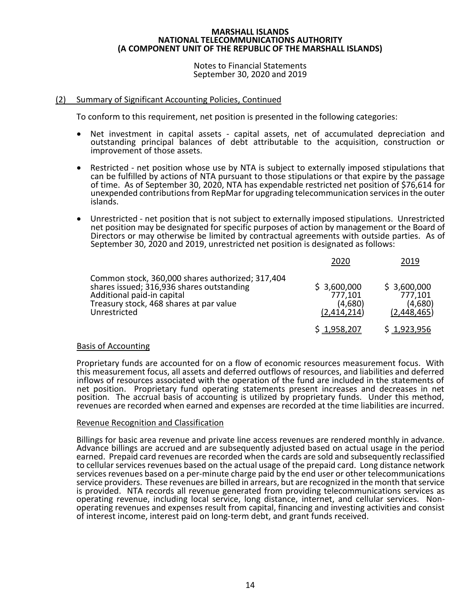#### Notes to Financial Statements September 30, 2020 and 2019

# (2) Summary of Significant Accounting Policies, Continued

To conform to this requirement, net position is presented in the following categories:

- Net investment in capital assets capital assets, net of accumulated depreciation and outstanding principal balances of debt attributable to the acquisition, construction or improvement of those assets.
- Restricted net position whose use by NTA is subject to externally imposed stipulations that can be fulfilled by actions of NTA pursuant to those stipulations or that expire by the passage of time. As of September 30, 2020, NTA has expendable restricted net position of \$76,614 for unexpended contributions from RepMar for upgrading telecommunication services in the outer islands.
- Unrestricted net position that is not subject to externally imposed stipulations. Unrestricted net position may be designated for specific purposes of action by management or the Board of Directors or may otherwise be limited by contractual agreements with outside parties. As of September 30, 2020 and 2019, unrestricted net position is designated as follows:

|                                                                                                                                                                                        | 2020                                             | 2019                                             |
|----------------------------------------------------------------------------------------------------------------------------------------------------------------------------------------|--------------------------------------------------|--------------------------------------------------|
| Common stock, 360,000 shares authorized; 317,404<br>shares issued; 316,936 shares outstanding<br>Additional paid-in capital<br>Treasury stock, 468 shares at par value<br>Unrestricted | \$3,600,000<br>777,101<br>(4,680)<br>(2,414,214) | \$3,600,000<br>777,101<br>(4,680)<br>(2,448,465) |
|                                                                                                                                                                                        | \$1,958,207                                      | \$1,923,956                                      |

#### Basis of Accounting

Proprietary funds are accounted for on a flow of economic resources measurement focus. With this measurement focus, all assets and deferred outflows of resources, and liabilities and deferred inflows of resources associated with the operation of the fund are included in the statements of net position. Proprietary fund operating statements present increases and decreases in net position. The accrual basis of accounting is utilized by proprietary funds. Under this method, revenues are recorded when earned and expenses are recorded at the time liabilities are incurred.

#### Revenue Recognition and Classification

Billings for basic area revenue and private line access revenues are rendered monthly in advance. Advance billings are accrued and are subsequently adjusted based on actual usage in the period earned. Prepaid card revenues are recorded when the cards are sold and subsequently reclassified to cellular services revenues based on the actual usage of the prepaid card. Long distance network services revenues based on a per-minute charge paid by the end user or other telecommunications service providers. These revenues are billed in arrears, but are recognized in the month that service is provided. NTA records all revenue generated from providing telecommunications services as operating revenue, including local service, long distance, internet, and cellular services. Nonoperating revenues and expenses result from capital, financing and investing activities and consist of interest income, interest paid on long-term debt, and grant funds received.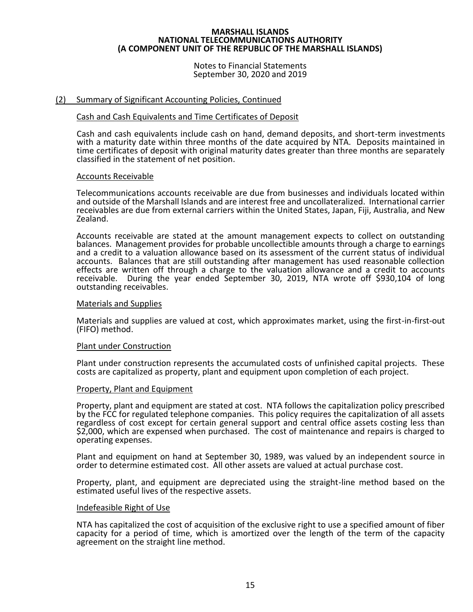Notes to Financial Statements September 30, 2020 and 2019

#### (2) Summary of Significant Accounting Policies, Continued

#### Cash and Cash Equivalents and Time Certificates of Deposit

Cash and cash equivalents include cash on hand, demand deposits, and short-term investments with a maturity date within three months of the date acquired by NTA. Deposits maintained in time certificates of deposit with original maturity dates greater than three months are separately classified in the statement of net position.

#### Accounts Receivable

Telecommunications accounts receivable are due from businesses and individuals located within and outside of the Marshall Islands and are interest free and uncollateralized. International carrier receivables are due from external carriers within the United States, Japan, Fiji, Australia, and New Zealand.

Accounts receivable are stated at the amount management expects to collect on outstanding balances. Management provides for probable uncollectible amounts through a charge to earnings and a credit to a valuation allowance based on its assessment of the current status of individual accounts. Balances that are still outstanding after management has used reasonable collection effects are written off through a charge to the valuation allowance and a credit to accounts receivable. During the year ended September 30, 2019, NTA wrote off \$930,104 of long outstanding receivables.

#### Materials and Supplies

Materials and supplies are valued at cost, which approximates market, using the first-in-first-out (FIFO) method.

#### Plant under Construction

Plant under construction represents the accumulated costs of unfinished capital projects. These costs are capitalized as property, plant and equipment upon completion of each project.

#### Property, Plant and Equipment

Property, plant and equipment are stated at cost. NTA follows the capitalization policy prescribed by the FCC for regulated telephone companies. This policy requires the capitalization of all assets regardless of cost except for certain general support and central office assets costing less than \$2,000, which are expensed when purchased. The cost of maintenance and repairs is charged to operating expenses.

Plant and equipment on hand at September 30, 1989, was valued by an independent source in order to determine estimated cost. All other assets are valued at actual purchase cost.

Property, plant, and equipment are depreciated using the straight-line method based on the estimated useful lives of the respective assets.

#### Indefeasible Right of Use

NTA has capitalized the cost of acquisition of the exclusive right to use a specified amount of fiber capacity for a period of time, which is amortized over the length of the term of the capacity agreement on the straight line method.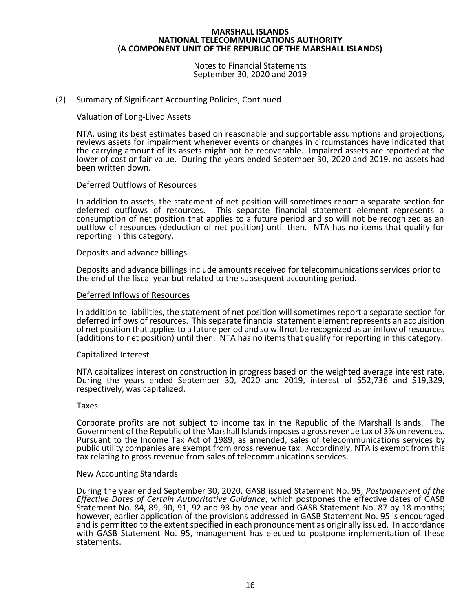Notes to Financial Statements September 30, 2020 and 2019

#### (2) Summary of Significant Accounting Policies, Continued

#### Valuation of Long-Lived Assets

NTA, using its best estimates based on reasonable and supportable assumptions and projections, reviews assets for impairment whenever events or changes in circumstances have indicated that the carrying amount of its assets might not be recoverable. Impaired assets are reported at the lower of cost or fair value. During the years ended September 30, 2020 and 2019, no assets had been written down.

#### Deferred Outflows of Resources

In addition to assets, the statement of net position will sometimes report a separate section for deferred outflows of resources. This separate financial statement element represents a consumption of net position that applies to a future period and so will not be recognized as an outflow of resources (deduction of net position) until then. NTA has no items that qualify for reporting in this category.

#### Deposits and advance billings

Deposits and advance billings include amounts received for telecommunications services prior to the end of the fiscal year but related to the subsequent accounting period.

#### Deferred Inflows of Resources

In addition to liabilities, the statement of net position will sometimes report a separate section for deferred inflows of resources. This separate financial statement element represents an acquisition of net position that applies to a future period and so will not be recognized as an inflow of resources (additions to net position) until then. NTA has no items that qualify for reporting in this category.

#### Capitalized Interest

NTA capitalizes interest on construction in progress based on the weighted average interest rate. During the years ended September 30, 2020 and 2019, interest of \$52,736 and \$19,329, respectively, was capitalized.

#### Taxes

Corporate profits are not subject to income tax in the Republic of the Marshall Islands. The Government of the Republic of the Marshall Islands imposes a gross revenue tax of 3% on revenues. Pursuant to the Income Tax Act of 1989, as amended, sales of telecommunications services by public utility companies are exempt from gross revenue tax. Accordingly, NTA is exempt from this tax relating to gross revenue from sales of telecommunications services.

#### New Accounting Standards

During the year ended September 30, 2020, GASB issued Statement No. 95, *Postponement of the Effective Dates of Certain Authoritative Guidance*, which postpones the effective dates of GASB Statement No. 84, 89, 90, 91, 92 and 93 by one year and GASB Statement No. 87 by 18 months; however, earlier application of the provisions addressed in GASB Statement No. 95 is encouraged and is permitted to the extent specified in each pronouncement as originally issued. In accordance with GASB Statement No. 95, management has elected to postpone implementation of these statements.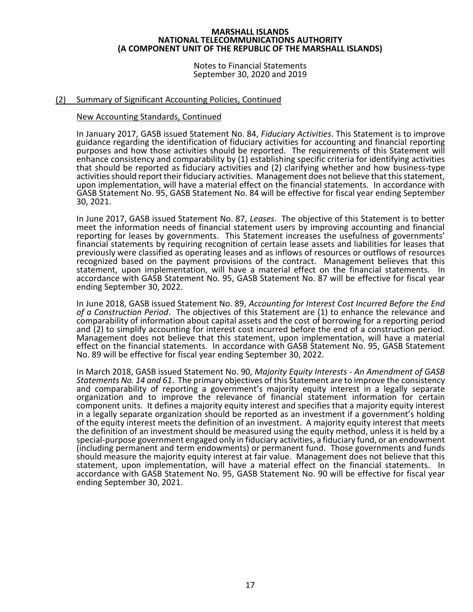Notes to Financial Statements September 30, 2020 and 2019

#### (2) Summary of Significant Accounting Policies, Continued

#### New Accounting Standards, Continued

In January 2017, GASB issued Statement No. 84, *Fiduciary Activities*. This Statement is to improve guidance regarding the identification of fiduciary activities for accounting and financial reporting purposes and how those activities should be reported. The requirements of this Statement will enhance consistency and comparability by (1) establishing specific criteria for identifying activities that should be reported as fiduciary activities and (2) clarifying whether and how business-type activities should report their fiduciary activities. Management does not believe that this statement, upon implementation, will have a material effect on the financial statements. In accordance with GASB Statement No. 95, GASB Statement No. 84 will be effective for fiscal year ending September 30, 2021.

In June 2017, GASB issued Statement No. 87, *Leases*. The objective of this Statement is to better meet the information needs of financial statement users by improving accounting and financial reporting for leases by governments. This Statement increases the usefulness of governments' financial statements by requiring recognition of certain lease assets and liabilities for leases that previously were classified as operating leases and as inflows of resources or outflows of resources recognized based on the payment provisions of the contract. Management believes that this statement, upon implementation, will have a material effect on the financial statements. In accordance with GASB Statement No. 95, GASB Statement No. 87 will be effective for fiscal year ending September 30, 2022.

In June 2018, GASB issued Statement No. 89, *Accounting for Interest Cost Incurred Before the End of a Construction Period*. The objectives of this Statement are (1) to enhance the relevance and comparability of information about capital assets and the cost of borrowing for a reporting period and (2) to simplify accounting for interest cost incurred before the end of a construction period. Management does not believe that this statement, upon implementation, will have a material effect on the financial statements. In accordance with GASB Statement No. 95, GASB Statement No. 89 will be effective for fiscal year ending September 30, 2022.

In March 2018, GASB issued Statement No. 90, *Majority Equity Interests - An Amendment of GASB Statements No. 14 and 61*. The primary objectives of this Statement are to improve the consistency and comparability of reporting a government's majority equity interest in a legally separate organization and to improve the relevance of financial statement information for certain component units. It defines a majority equity interest and specifies that a majority equity interest in a legally separate organization should be reported as an investment if a government's holding of the equity interest meets the definition of an investment. A majority equity interest that meets the definition of an investment should be measured using the equity method, unless it is held by a special-purpose government engaged only in fiduciary activities, a fiduciary fund, or an endowment (including permanent and term endowments) or permanent fund. Those governments and funds should measure the majority equity interest at fair value. Management does not believe that this statement, upon implementation, will have a material effect on the financial statements. In accordance with GASB Statement No. 95, GASB Statement No. 90 will be effective for fiscal year ending September 30, 2021.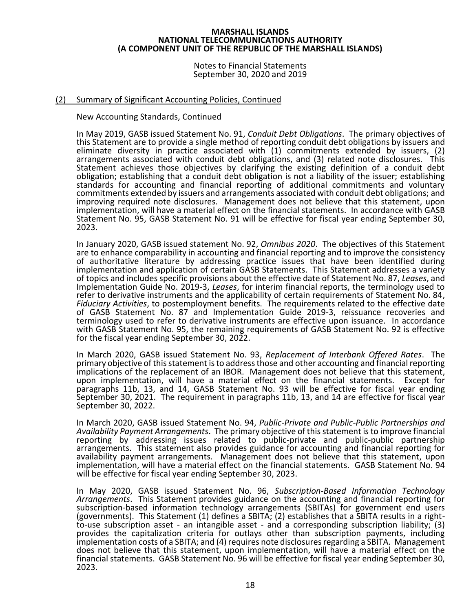Notes to Financial Statements September 30, 2020 and 2019

# (2) Summary of Significant Accounting Policies, Continued

#### New Accounting Standards, Continued

In May 2019, GASB issued Statement No. 91, *Conduit Debt Obligations*. The primary objectives of this Statement are to provide a single method of reporting conduit debt obligations by issuers and eliminate diversity in practice associated with (1) commitments extended by issuers, (2) arrangements associated with conduit debt obligations, and (3) related note disclosures. This Statement achieves those objectives by clarifying the existing definition of a conduit debt obligation; establishing that a conduit debt obligation is not a liability of the issuer; establishing standards for accounting and financial reporting of additional commitments and voluntary commitments extended by issuers and arrangements associated with conduit debt obligations; and improving required note disclosures. Management does not believe that this statement, upon implementation, will have a material effect on the financial statements. In accordance with GASB Statement No. 95, GASB Statement No. 91 will be effective for fiscal year ending September 30, 2023.

In January 2020, GASB issued statement No. 92, *Omnibus 2020*. The objectives of this Statement are to enhance comparability in accounting and financial reporting and to improve the consistency of authoritative literature by addressing practice issues that have been identified during implementation and application of certain GASB Statements. This Statement addresses a variety of topics and includes specific provisions about the effective date of Statement No. 87, *Leases*, and Implementation Guide No. 2019-3, *Leases*, for interim financial reports, the terminology used to refer to derivative instruments and the applicability of certain requirements of Statement No. 84, *Fiduciary Activities*, to postemployment benefits. The requirements related to the effective date of GASB Statement No. 87 and Implementation Guide 2019-3, reissuance recoveries and terminology used to refer to derivative instruments are effective upon issuance. In accordance with GASB Statement No. 95, the remaining requirements of GASB Statement No. 92 is effective for the fiscal year ending September 30, 2022.

In March 2020, GASB issued Statement No. 93, *Replacement of Interbank Offered Rates*. The primary objective of this statement is to address those and other accounting and financial reporting implications of the replacement of an IBOR. Management does not believe that this statement, upon implementation, will have a material effect on the financial statements. Except for paragraphs 11b, 13, and 14, GASB Statement No. 93 will be effective for fiscal year ending September 30, 2021. The requirement in paragraphs 11b, 13, and 14 are effective for fiscal year September 30, 2022.

In March 2020, GASB issued Statement No. 94, *Public-Private and Public-Public Partnerships and Availability Payment Arrangements*. The primary objective of this statement is to improve financial reporting by addressing issues related to public-private and public-public partnership arrangements. This statement also provides guidance for accounting and financial reporting for availability payment arrangements. Management does not believe that this statement, upon implementation, will have a material effect on the financial statements. GASB Statement No. 94 will be effective for fiscal year ending September 30, 2023.

In May 2020, GASB issued Statement No. 96, *Subscription-Based Information Technology Arrangements*. This Statement provides guidance on the accounting and financial reporting for subscription-based information technology arrangements (SBITAs) for government end users (governments). This Statement (1) defines a SBITA; (2) establishes that a SBITA results in a rightto-use subscription asset - an intangible asset - and a corresponding subscription liability; (3) provides the capitalization criteria for outlays other than subscription payments, including implementation costs of a SBITA; and (4) requires note disclosures regarding a SBITA. Management does not believe that this statement, upon implementation, will have a material effect on the financial statements. GASB Statement No. 96 will be effective for fiscal year ending September 30, 2023.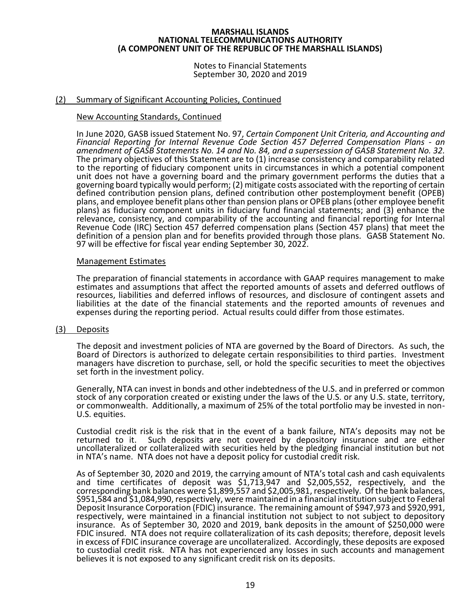Notes to Financial Statements September 30, 2020 and 2019

# (2) Summary of Significant Accounting Policies, Continued

#### New Accounting Standards, Continued

In June 2020, GASB issued Statement No. 97, *Certain Component Unit Criteria, and Accounting and Financial Reporting for Internal Revenue Code Section 457 Deferred Compensation Plans - an amendment of GASB Statements No. 14 and No. 84, and a supersession of GASB Statement No. 32.* The primary objectives of this Statement are to (1) increase consistency and comparability related to the reporting of fiduciary component units in circumstances in which a potential component unit does not have a governing board and the primary government performs the duties that a governing board typically would perform; (2) mitigate costs associated with the reporting of certain defined contribution pension plans, defined contribution other postemployment benefit (OPEB) plans, and employee benefit plans other than pension plans or OPEB plans (other employee benefit plans) as fiduciary component units in fiduciary fund financial statements; and (3) enhance the relevance, consistency, and comparability of the accounting and financial reporting for Internal Revenue Code (IRC) Section 457 deferred compensation plans (Section 457 plans) that meet the definition of a pension plan and for benefits provided through those plans. GASB Statement No. 97 will be effective for fiscal year ending September 30, 2022.

#### Management Estimates

The preparation of financial statements in accordance with GAAP requires management to make estimates and assumptions that affect the reported amounts of assets and deferred outflows of resources, liabilities and deferred inflows of resources, and disclosure of contingent assets and liabilities at the date of the financial statements and the reported amounts of revenues and expenses during the reporting period. Actual results could differ from those estimates.

#### (3) Deposits

The deposit and investment policies of NTA are governed by the Board of Directors. As such, the Board of Directors is authorized to delegate certain responsibilities to third parties. Investment managers have discretion to purchase, sell, or hold the specific securities to meet the objectives set forth in the investment policy.

Generally, NTA can invest in bonds and other indebtedness of the U.S. and in preferred or common stock of any corporation created or existing under the laws of the U.S. or any U.S. state, territory, or commonwealth. Additionally, a maximum of 25% of the total portfolio may be invested in non-U.S. equities.

Custodial credit risk is the risk that in the event of a bank failure, NTA's deposits may not be returned to it. Such deposits are not covered by depository insurance and are either uncollateralized or collateralized with securities held by the pledging financial institution but not in NTA's name. NTA does not have a deposit policy for custodial credit risk.

As of September 30, 2020 and 2019, the carrying amount of NTA's total cash and cash equivalents and time certificates of deposit was \$1,713,947 and \$2,005,552, respectively, and the corresponding bank balances were \$1,899,557 and \$2,005,981, respectively. Of the bank balances, \$951,584 and \$1,084,990, respectively, were maintained in a financial institution subject to Federal Deposit Insurance Corporation (FDIC) insurance. The remaining amount of \$947,973 and \$920,991, respectively, were maintained in a financial institution not subject to not subject to depository insurance. As of September 30, 2020 and 2019, bank deposits in the amount of \$250,000 were FDIC insured. NTA does not require collateralization of its cash deposits; therefore, deposit levels in excess of FDIC insurance coverage are uncollateralized. Accordingly, these deposits are exposed to custodial credit risk. NTA has not experienced any losses in such accounts and management believes it is not exposed to any significant credit risk on its deposits.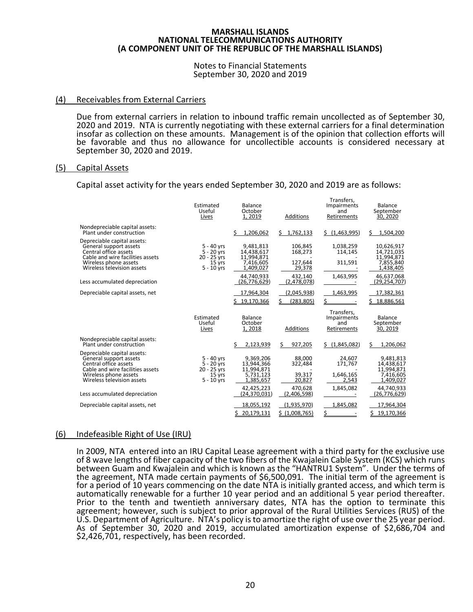Notes to Financial Statements September 30, 2020 and 2019

#### (4) Receivables from External Carriers

Due from external carriers in relation to inbound traffic remain uncollected as of September 30, 2020 and 2019. NTA is currently negotiating with these external carriers for a final determination insofar as collection on these amounts. Management is of the opinion that collection efforts will be favorable and thus no allowance for uncollectible accounts is considered necessary at September 30, 2020 and 2019.

#### (5) Capital Assets

Capital asset activity for the years ended September 30, 2020 and 2019 are as follows:

|                                                                                                                                                                           | Estimated<br>Useful<br>Lives                                          | <b>Balance</b><br>October<br>1, 2019                            | Additions                             | Transfers,<br>Impairments<br>and<br>Retirements | <b>Balance</b><br>September<br>30, 2020                         |
|---------------------------------------------------------------------------------------------------------------------------------------------------------------------------|-----------------------------------------------------------------------|-----------------------------------------------------------------|---------------------------------------|-------------------------------------------------|-----------------------------------------------------------------|
| Nondepreciable capital assets:<br>Plant under construction                                                                                                                |                                                                       | 1,206,062                                                       | 1,762,133<br>Ś.                       | \$(1,463,995)                                   | 1,504,200<br>S.                                                 |
| Depreciable capital assets:<br>General support assets<br>Central office assets                                                                                            | $5 - 40$ yrs<br>$5 - 20$ yrs                                          | 9,481,813<br>14,438,617                                         | 106,845<br>168,273                    | 1,038,259<br>114,145                            | 10,626,917<br>14,721,035                                        |
| Cable and wire facilities assets<br>Wireless phone assets<br>Wireless television assets                                                                                   | 20 - 25 yrs<br>15 yrs<br>$5 - 10$ yrs                                 | 11,994,871<br>7,416,605<br>1,409,027                            | 127,644<br>29,378                     | 311,591                                         | 11,994,871<br>7,855,840<br>1,438,405                            |
| Less accumulated depreciation                                                                                                                                             |                                                                       | 44,740,933<br>(26,776,629)                                      | 432.140<br>(2,478,078)                | 1,463,995                                       | 46,637,068<br>(29,254,707)                                      |
| Depreciable capital assets, net                                                                                                                                           |                                                                       | 17,964,304<br>19,170,366                                        | (2,045,938)<br>(283, 805)             | 1,463,995<br>\$                                 | 17,382,361<br>18,886,561                                        |
|                                                                                                                                                                           | Estimated<br>Useful<br>Lives                                          | <b>Balance</b><br>October<br>1,2018                             | Additions                             | Transfers.<br>Impairments<br>and<br>Retirements | Balance<br>September<br>30.2019                                 |
| Nondepreciable capital assets:<br>Plant under construction                                                                                                                |                                                                       | 2,123,939                                                       | Ś.<br>927,205                         | \$(1,845,082)                                   | 1,206,062<br>Ś.                                                 |
| Depreciable capital assets:<br>General support assets<br>Central office assets<br>Cable and wire facilities assets<br>Wireless phone assets<br>Wireless television assets | $5 - 40$ yrs<br>$5 - 20$ yrs<br>20 - 25 yrs<br>15 yrs<br>$5 - 10$ yrs | 9,369,206<br>13,944,366<br>11,994,871<br>5,731,123<br>1,385,657 | 88,000<br>322,484<br>39,317<br>20,827 | 24,607<br>171,767<br>1,646,165<br>2,543         | 9,481,813<br>14,438,617<br>11,994,871<br>7,416,605<br>1,409,027 |
| Less accumulated depreciation                                                                                                                                             |                                                                       | 42,425,223<br>(24,370,031)                                      | 470.628<br>(2,406,598)                | 1,845,082                                       | 44,740,933<br>(26, 776, 629)                                    |
| Depreciable capital assets, net                                                                                                                                           |                                                                       | 18,055,192                                                      | (1,935,970)                           | 1,845,082                                       | 17,964,304                                                      |
|                                                                                                                                                                           |                                                                       | 20.179.131                                                      | \$(1,008,765)                         | \$                                              | Ś.<br>19,170,366                                                |

# (6) Indefeasible Right of Use (IRU)

In 2009, NTA entered into an IRU Capital Lease agreement with a third party for the exclusive use of 8 wave lengths of fiber capacity of the two fibers of the Kwajalein Cable System (KCS) which runs between Guam and Kwajalein and which is known as the "HANTRU1 System". Under the terms of the agreement, NTA made certain payments of \$6,500,091. The initial term of the agreement is for a period of 10 years commencing on the date NTA is initially granted access, and which term is automatically renewable for a further 10 year period and an additional 5 year period thereafter. Prior to the tenth and twentieth anniversary dates, NTA has the option to terminate this agreement; however, such is subject to prior approval of the Rural Utilities Services (RUS) of the U.S. Department of Agriculture. NTA's policy is to amortize the right of use over the 25 year period. As of September 30, 2020 and 2019, accumulated amortization expense of \$2,686,704 and \$2,426,701, respectively, has been recorded.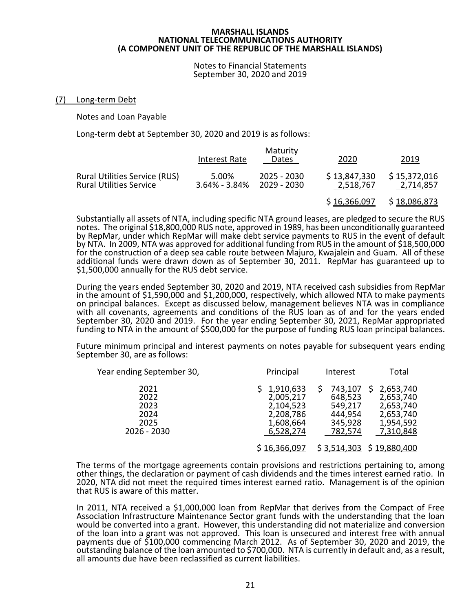Notes to Financial Statements September 30, 2020 and 2019

#### (7) Long-term Debt

Notes and Loan Payable

Long-term debt at September 30, 2020 and 2019 is as follows:

|                                                                        | Interest Rate                | Maturity<br>Dates          | 2020                      | 2019                      |
|------------------------------------------------------------------------|------------------------------|----------------------------|---------------------------|---------------------------|
| <b>Rural Utilities Service (RUS)</b><br><b>Rural Utilities Service</b> | 5.00%<br>$3.64\%$ - $3.84\%$ | 2025 - 2030<br>2029 - 2030 | \$13,847,330<br>2,518,767 | \$15,372,016<br>2,714,857 |
|                                                                        |                              |                            | \$16,366,097              | \$18,086,873              |

Substantially all assets of NTA, including specific NTA ground leases, are pledged to secure the RUS notes. The original \$18,800,000 RUS note, approved in 1989, has been unconditionally guaranteed by RepMar, under which RepMar will make debt service payments to RUS in the event of default by NTA. In 2009, NTA was approved for additional funding from RUS in the amount of \$18,500,000 for the construction of a deep sea cable route between Majuro, Kwajalein and Guam. All of these additional funds were drawn down as of September 30, 2011. RepMar has guaranteed up to \$1,500,000 annually for the RUS debt service.

During the years ended September 30, 2020 and 2019, NTA received cash subsidies from RepMar in the amount of \$1,590,000 and \$1,200,000, respectively, which allowed NTA to make payments on principal balances. Except as discussed below, management believes NTA was in compliance with all covenants, agreements and conditions of the RUS loan as of and for the years ended September 30, 2020 and 2019. For the year ending September 30, 2021, RepMar appropriated funding to NTA in the amount of \$500,000 for the purpose of funding RUS loan principal balances.

Future minimum principal and interest payments on notes payable for subsequent years ending September 30, are as follows:

| Year ending September 30,                           | Principal                                                                    | Interest                                                       | <b>Total</b>                                                               |
|-----------------------------------------------------|------------------------------------------------------------------------------|----------------------------------------------------------------|----------------------------------------------------------------------------|
| 2021<br>2022<br>2023<br>2024<br>2025<br>2026 - 2030 | \$1,910,633<br>2,005,217<br>2,104,523<br>2,208,786<br>1,608,664<br>6,528,274 | 743,107<br>648,523<br>549,217<br>444,954<br>345,928<br>782,574 | 2,653,740<br>2,653,740<br>2,653,740<br>2,653,740<br>1,954,592<br>7,310,848 |
|                                                     | \$16,366,097                                                                 |                                                                | \$3,514,303 \$19,880,400                                                   |

The terms of the mortgage agreements contain provisions and restrictions pertaining to, among other things, the declaration or payment of cash dividends and the times interest earned ratio. In 2020, NTA did not meet the required times interest earned ratio. Management is of the opinion that RUS is aware of this matter.

In 2011, NTA received a \$1,000,000 loan from RepMar that derives from the Compact of Free Association Infrastructure Maintenance Sector grant funds with the understanding that the loan would be converted into a grant. However, this understanding did not materialize and conversion of the loan into a grant was not approved. This loan is unsecured and interest free with annual payments due of \$100,000 commencing March 2012. As of September 30, 2020 and 2019, the outstanding balance of the loan amounted to \$700,000. NTA is currently in default and, as a result, all amounts due have been reclassified as current liabilities.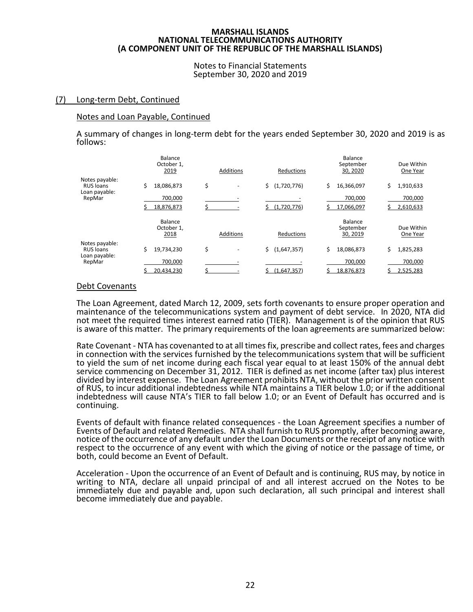#### Notes to Financial Statements September 30, 2020 and 2019

#### (7) Long-term Debt, Continued

#### Notes and Loan Payable, Continued

A summary of changes in long-term debt for the years ended September 30, 2020 and 2019 is as follows:

|                                                     | Balance<br>October 1,<br>2019 | Additions                      | Reductions        | Balance<br>September<br>30, 2020 | Due Within<br>One Year |
|-----------------------------------------------------|-------------------------------|--------------------------------|-------------------|----------------------------------|------------------------|
| Notes payable:<br><b>RUS</b> loans<br>Loan payable: | \$<br>18,086,873              | \$                             | \$<br>(1,720,776) | \$<br>16,366,097                 | \$<br>1,910,633        |
| RepMar                                              | 700,000                       |                                |                   | 700,000                          | 700,000                |
|                                                     | 18,876,873                    |                                | (1,720,776)       | 17,066,097                       | 2,610,633              |
|                                                     | Balance<br>October 1,<br>2018 | Additions                      | Reductions        | Balance<br>September<br>30, 2019 | Due Within<br>One Year |
| Notes payable:<br><b>RUS</b> loans<br>Loan payable: | \$<br>19,734,230              | \$<br>$\overline{\phantom{0}}$ | \$<br>(1,647,357) | \$<br>18,086,873                 | \$<br>1,825,283        |
| RepMar                                              | 700,000                       |                                |                   | 700,000                          | 700,000                |
|                                                     | 20,434,230                    |                                | (1,647,357)       | 18,876,873                       | 2,525,283              |

#### Debt Covenants

The Loan Agreement, dated March 12, 2009, sets forth covenants to ensure proper operation and maintenance of the telecommunications system and payment of debt service. In 2020, NTA did not meet the required times interest earned ratio (TIER). Management is of the opinion that RUS is aware of this matter. The primary requirements of the loan agreements are summarized below:

Rate Covenant - NTA has covenanted to at all times fix, prescribe and collect rates, fees and charges in connection with the services furnished by the telecommunications system that will be sufficient to yield the sum of net income during each fiscal year equal to at least 150% of the annual debt service commencing on December 31, 2012. TIER is defined as net income (after tax) plus interest divided by interest expense. The Loan Agreement prohibits NTA, without the prior written consent of RUS, to incur additional indebtedness while NTA maintains a TIER below 1.0; or if the additional indebtedness will cause NTA's TIER to fall below 1.0; or an Event of Default has occurred and is continuing.

Events of default with finance related consequences - the Loan Agreement specifies a number of Events of Default and related Remedies. NTA shall furnish to RUS promptly, after becoming aware, notice of the occurrence of any default under the Loan Documents or the receipt of any notice with respect to the occurrence of any event with which the giving of notice or the passage of time, or both, could become an Event of Default.

Acceleration - Upon the occurrence of an Event of Default and is continuing, RUS may, by notice in writing to NTA, declare all unpaid principal of and all interest accrued on the Notes to be immediately due and payable and, upon such declaration, all such principal and interest shall become immediately due and payable.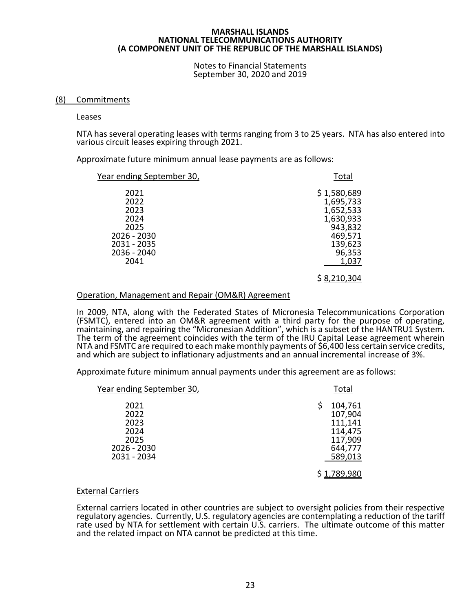Notes to Financial Statements September 30, 2020 and 2019

# (8) Commitments

#### Leases

NTA has several operating leases with terms ranging from 3 to 25 years. NTA has also entered into various circuit leases expiring through 2021.

Approximate future minimum annual lease payments are as follows:

| Year ending September 30,                                                                 | Total                                                                                                  |
|-------------------------------------------------------------------------------------------|--------------------------------------------------------------------------------------------------------|
| 2021<br>2022<br>2023<br>2024<br>2025<br>2026 - 2030<br>2031 - 2035<br>2036 - 2040<br>2041 | \$1,580,689<br>1,695,733<br>1,652,533<br>1,630,933<br>943,832<br>469,571<br>139,623<br>96,353<br>1,037 |
|                                                                                           | \$8,210,304                                                                                            |

# Operation, Management and Repair (OM&R) Agreement

In 2009, NTA, along with the Federated States of Micronesia Telecommunications Corporation (FSMTC), entered into an OM&R agreement with a third party for the purpose of operating, maintaining, and repairing the "Micronesian Addition", which is a subset of the HANTRU1 System. The term of the agreement coincides with the term of the IRU Capital Lease agreement wherein NTA and FSMTC are required to each make monthly payments of \$6,400 less certain service credits, and which are subject to inflationary adjustments and an annual incremental increase of 3%.

Approximate future minimum annual payments under this agreement are as follows:

| Year ending September 30,                                          | Total                                                                     |
|--------------------------------------------------------------------|---------------------------------------------------------------------------|
| 2021<br>2022<br>2023<br>2024<br>2025<br>2026 - 2030<br>2031 - 2034 | 104,761<br>107,904<br>111,141<br>114,475<br>117,909<br>644,777<br>589,013 |
|                                                                    | \$ <u>1,789,980</u>                                                       |

#### External Carriers

External carriers located in other countries are subject to oversight policies from their respective regulatory agencies. Currently, U.S. regulatory agencies are contemplating a reduction of the tariff rate used by NTA for settlement with certain U.S. carriers. The ultimate outcome of this matter and the related impact on NTA cannot be predicted at this time.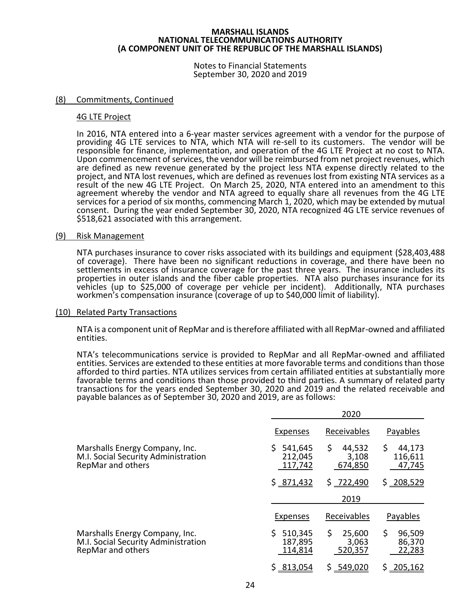Notes to Financial Statements September 30, 2020 and 2019

#### (8) Commitments, Continued

#### 4G LTE Project

In 2016, NTA entered into a 6-year master services agreement with a vendor for the purpose of providing 4G LTE services to NTA, which NTA will re-sell to its customers. The vendor will be responsible for finance, implementation, and operation of the 4G LTE Project at no cost to NTA. Upon commencement of services, the vendor will be reimbursed from net project revenues, which are defined as new revenue generated by the project less NTA expense directly related to the project, and NTA lost revenues, which are defined as revenues lost from existing NTA services as a result of the new 4G LTE Project. On March 25, 2020, NTA entered into an amendment to this agreement whereby the vendor and NTA agreed to equally share all revenues from the 4G LTE services for a period of six months, commencing March 1, 2020, which may be extended by mutual consent. During the year ended September 30, 2020, NTA recognized 4G LTE service revenues of \$518,621 associated with this arrangement.

#### (9) Risk Management

NTA purchases insurance to cover risks associated with its buildings and equipment (\$28,403,488 of coverage). There have been no significant reductions in coverage, and there have been no settlements in excess of insurance coverage for the past three years. The insurance includes its properties in outer islands and the fiber cable properties. NTA also purchases insurance for its vehicles (up to \$25,000 of coverage per vehicle per incident). Additionally, NTA purchases workmen's compensation insurance (coverage of up to \$40,000 limit of liability).

#### (10) Related Party Transactions

NTA is a component unit of RepMar and is therefore affiliated with all RepMar-owned and affiliated entities.

NTA's telecommunications service is provided to RepMar and all RepMar-owned and affiliated entities. Services are extended to these entities at more favorable terms and conditions than those afforded to third parties. NTA utilizes services from certain affiliated entities at substantially more favorable terms and conditions than those provided to third parties. A summary of related party transactions for the years ended September 30, 2020 and 2019 and the related receivable and payable balances as of September 30, 2020 and 2019, are as follows:

|                                                                                            |                               | 2020                             |                                   |
|--------------------------------------------------------------------------------------------|-------------------------------|----------------------------------|-----------------------------------|
|                                                                                            | Expenses                      | Receivables                      | Payables                          |
| Marshalls Energy Company, Inc.<br>M.I. Social Security Administration<br>RepMar and others | 541,645<br>212,045<br>117,742 | \$<br>44,532<br>3,108<br>674,850 | \$<br>44,173<br>116,611<br>47,745 |
|                                                                                            | \$ 871,432                    | \$ 722,490                       | \$ 208,529                        |
|                                                                                            |                               | 2019                             |                                   |
|                                                                                            | Expenses                      | Receivables                      | Payables                          |
| Marshalls Energy Company, Inc.<br>M.I. Social Security Administration<br>RepMar and others | 510,345<br>187,895<br>114,814 | \$<br>25,600<br>3,063<br>520,357 | \$<br>96,509<br>86,370<br>22,283  |
|                                                                                            | \$ 813,054                    | 549,020<br>S.                    | 205,162                           |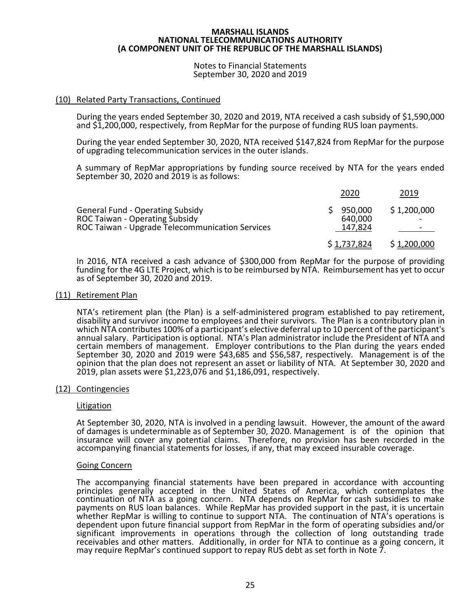Notes to Financial Statements September 30, 2020 and 2019

# (10) Related Party Transactions, Continued

During the years ended September 30, 2020 and 2019, NTA received a cash subsidy of \$1,590,000 and \$1,200,000, respectively, from RepMar for the purpose of funding RUS loan payments.

During the year ended September 30, 2020, NTA received \$147,824 from RepMar for the purpose of upgrading telecommunication services in the outer islands.

A summary of RepMar appropriations by funding source received by NTA for the years ended September 30, 2020 and 2019 is as follows:

|                                                                                                                              | 2020                          | 2019                                        |
|------------------------------------------------------------------------------------------------------------------------------|-------------------------------|---------------------------------------------|
| <b>General Fund - Operating Subsidy</b><br>ROC Taiwan - Operating Subsidy<br>ROC Taiwan - Upgrade Telecommunication Services | 950,000<br>640,000<br>147,824 | \$1,200,000<br>$\qquad \qquad \blacksquare$ |
|                                                                                                                              | \$1,737,824                   | \$1,200,000                                 |

In 2016, NTA received a cash advance of \$300,000 from RepMar for the purpose of providing funding for the 4G LTE Project, which is to be reimbursed by NTA. Reimbursement has yet to occur as of September 30, 2020 and 2019.

#### (11) Retirement Plan

NTA's retirement plan (the Plan) is a self-administered program established to pay retirement, disability and survivor income to employees and their survivors. The Plan is a contributory plan in which NTA contributes 100% of a participant's elective deferral up to 10 percent of the participant's annual salary. Participation is optional. NTA's Plan administrator include the President of NTA and certain members of management. Employer contributions to the Plan during the years ended September 30, 2020 and 2019 were \$43,685 and \$56,587, respectively. Management is of the opinion that the plan does not represent an asset or liability of NTA. At September 30, 2020 and 2019, plan assets were \$1,223,076 and \$1,186,091, respectively.

# (12) Contingencies

#### Litigation

At September 30, 2020, NTA is involved in a pending lawsuit. However, the amount of the award of damages is undeterminable as of September 30, 2020. Management is of the opinion that insurance will cover any potential claims. Therefore, no provision has been recorded in the accompanying financial statements for losses, if any, that may exceed insurable coverage.

#### Going Concern

The accompanying financial statements have been prepared in accordance with accounting principles generally accepted in the United States of America, which contemplates the continuation of NTA as a going concern. NTA depends on RepMar for cash subsidies to make payments on RUS loan balances. While RepMar has provided support in the past, it is uncertain whether RepMar is willing to continue to support NTA. The continuation of NTA's operations is dependent upon future financial support from RepMar in the form of operating subsidies and/or significant improvements in operations through the collection of long outstanding trade receivables and other matters. Additionally, in order for NTA to continue as a going concern, it may require RepMar's continued support to repay RUS debt as set forth in Note 7.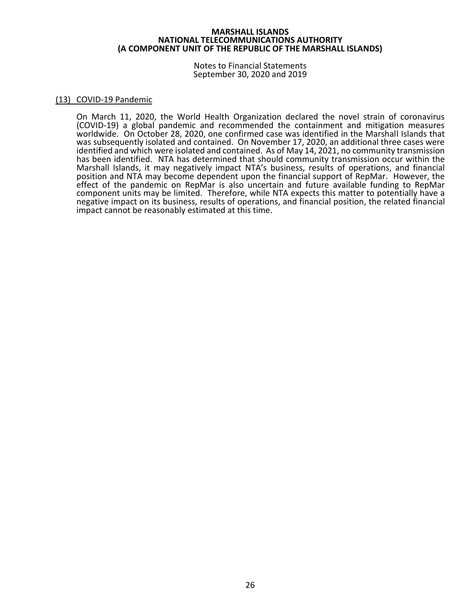Notes to Financial Statements September 30, 2020 and 2019

#### (13) COVID-19 Pandemic

On March 11, 2020, the World Health Organization declared the novel strain of coronavirus (COVID-19) a global pandemic and recommended the containment and mitigation measures worldwide. On October 28, 2020, one confirmed case was identified in the Marshall Islands that was subsequently isolated and contained. On November 17, 2020, an additional three cases were identified and which were isolated and contained. As of May 14, 2021, no community transmission has been identified. NTA has determined that should community transmission occur within the Marshall Islands, it may negatively impact NTA's business, results of operations, and financial position and NTA may become dependent upon the financial support of RepMar. However, the effect of the pandemic on RepMar is also uncertain and future available funding to RepMar component units may be limited. Therefore, while NTA expects this matter to potentially have a negative impact on its business, results of operations, and financial position, the related financial impact cannot be reasonably estimated at this time.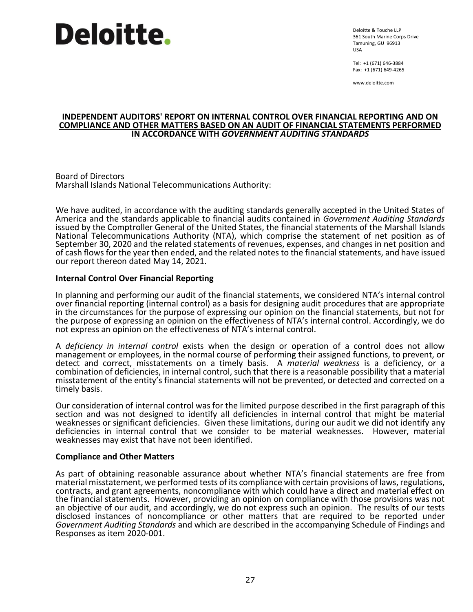# **Deloitte**.

Deloitte & Touche LLP 361 South Marine Corps Drive Tamuning, GU 96913 USA

Tel: +1 (671) 646-3884 Fax: +1 (671) 649-4265

www.deloitte.com

#### **INDEPENDENT AUDITORS' REPORT ON INTERNAL CONTROL OVER FINANCIAL REPORTING AND ON COMPLIANCE AND OTHER MATTERS BASED ON AN AUDIT OF FINANCIAL STATEMENTS PERFORMED IN ACCORDANCE WITH** *GOVERNMENT AUDITING STANDARDS*

Board of Directors Marshall Islands National Telecommunications Authority:

We have audited, in accordance with the auditing standards generally accepted in the United States of America and the standards applicable to financial audits contained in *Government Auditing Standards*  issued by the Comptroller General of the United States, the financial statements of the Marshall Islands National Telecommunications Authority (NTA), which comprise the statement of net position as of September 30, 2020 and the related statements of revenues, expenses, and changes in net position and of cash flows for the year then ended, and the related notes to the financial statements, and have issued our report thereon dated May 14, 2021.

# **Internal Control Over Financial Reporting**

In planning and performing our audit of the financial statements, we considered NTA's internal control over financial reporting (internal control) as a basis for designing audit procedures that are appropriate in the circumstances for the purpose of expressing our opinion on the financial statements, but not for the purpose of expressing an opinion on the effectiveness of NTA's internal control. Accordingly, we do not express an opinion on the effectiveness of NTA's internal control.

A *deficiency in internal control* exists when the design or operation of a control does not allow management or employees, in the normal course of performing their assigned functions, to prevent, or detect and correct, misstatements on a timely basis. A *material weakness* is a deficiency, or a combination of deficiencies, in internal control, such that there is a reasonable possibility that a material misstatement of the entity's financial statements will not be prevented, or detected and corrected on a timely basis.

Our consideration of internal control was for the limited purpose described in the first paragraph of this section and was not designed to identify all deficiencies in internal control that might be material weaknesses or significant deficiencies. Given these limitations, during our audit we did not identify any deficiencies in internal control that we consider to be material weaknesses. However, material weaknesses may exist that have not been identified.

# **Compliance and Other Matters**

As part of obtaining reasonable assurance about whether NTA's financial statements are free from material misstatement, we performed tests of its compliance with certain provisions of laws, regulations, contracts, and grant agreements, noncompliance with which could have a direct and material effect on the financial statements. However, providing an opinion on compliance with those provisions was not an objective of our audit, and accordingly, we do not express such an opinion. The results of our tests disclosed instances of noncompliance or other matters that are required to be reported under *Government Auditing Standards* and which are described in the accompanying Schedule of Findings and Responses as item 2020-001.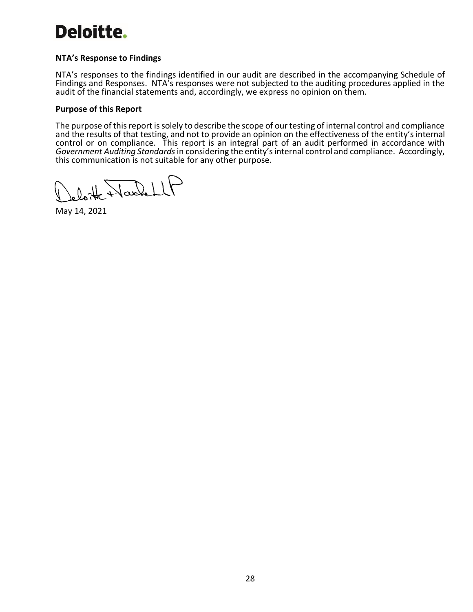# **Deloitte.**

# **NTA's Response to Findings**

NTA's responses to the findings identified in our audit are described in the accompanying Schedule of Findings and Responses. NTA's responses were not subjected to the auditing procedures applied in the audit of the financial statements and, accordingly, we express no opinion on them.

# **Purpose of this Report**

The purpose of this report is solely to describe the scope of our testing of internal control and compliance and the results of that testing, and not to provide an opinion on the effectiveness of the entity's internal control or on compliance. This report is an integral part of an audit performed in accordance with *Government Auditing Standards* in considering the entity's internal control and compliance. Accordingly, this communication is not suitable for any other purpose.

leloitte Nachell

May 14, 2021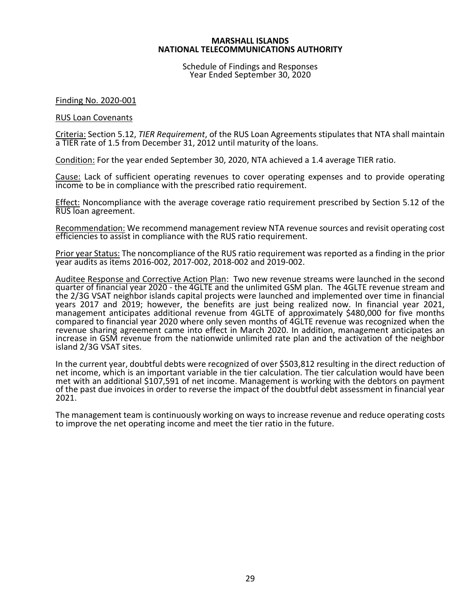#### **MARSHALL ISLANDS NATIONAL TELECOMMUNICATIONS AUTHORITY**

Schedule of Findings and Responses Year Ended September 30, 2020

Finding No. 2020-001

#### RUS Loan Covenants

Criteria: Section 5.12, *TIER Requirement*, of the RUS Loan Agreements stipulates that NTA shall maintain a TIER rate of 1.5 from December 31, 2012 until maturity of the loans.

Condition: For the year ended September 30, 2020, NTA achieved a 1.4 average TIER ratio.

Cause: Lack of sufficient operating revenues to cover operating expenses and to provide operating income to be in compliance with the prescribed ratio requirement.

Effect: Noncompliance with the average coverage ratio requirement prescribed by Section 5.12 of the RUS loan agreement.

Recommendation: We recommend management review NTA revenue sources and revisit operating cost efficiencies to assist in compliance with the RUS ratio requirement.

Prior year Status: The noncompliance of the RUS ratio requirement was reported as a finding in the prior year audits as items 2016-002, 2017-002, 2018-002 and 2019-002.

Auditee Response and Corrective Action Plan: Two new revenue streams were launched in the second quarter of financial year 2020 - the 4GLTE and the unlimited GSM plan. The 4GLTE revenue stream and the 2/3G VSAT neighbor islands capital projects were launched and implemented over time in financial years 2017 and 2019; however, the benefits are just being realized now. In financial year 2021, management anticipates additional revenue from 4GLTE of approximately \$480,000 for five months compared to financial year 2020 where only seven months of 4GLTE revenue was recognized when the revenue sharing agreement came into effect in March 2020. In addition, management anticipates an increase in GSM revenue from the nationwide unlimited rate plan and the activation of the neighbor island 2/3G VSAT sites.

In the current year, doubtful debts were recognized of over \$503,812 resulting in the direct reduction of net income, which is an important variable in the tier calculation. The tier calculation would have been met with an additional \$107,591 of net income. Management is working with the debtors on payment of the past due invoices in order to reverse the impact of the doubtful debt assessment in financial year 2021.

The management team is continuously working on ways to increase revenue and reduce operating costs to improve the net operating income and meet the tier ratio in the future.